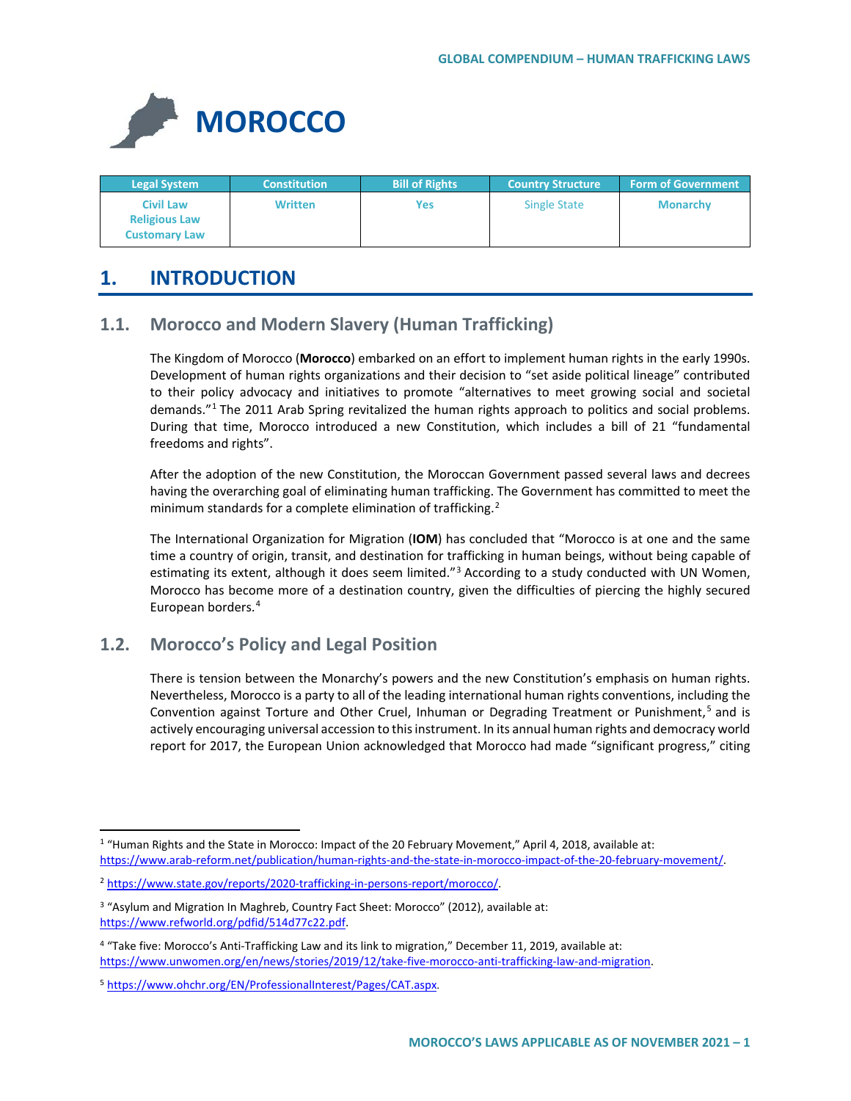

| <b>Legal System</b>                                              | <b>Constitution</b> | <b>Bill of Rights</b> | <b>Country Structure</b> | <b>Form of Government</b> |
|------------------------------------------------------------------|---------------------|-----------------------|--------------------------|---------------------------|
| <b>Civil Law</b><br><b>Religious Law</b><br><b>Customary Law</b> | <b>Written</b>      | Yes                   | <b>Single State</b>      | <b>Monarchy</b>           |

# **1. INTRODUCTION**

# **1.1. Morocco and Modern Slavery (Human Trafficking)**

The Kingdom of Morocco (**Morocco**) embarked on an effort to implement human rights in the early 1990s. Development of human rights organizations and their decision to "set aside political lineage" contributed to their policy advocacy and initiatives to promote "alternatives to meet growing social and societal demands."<sup>[1](#page-0-0)</sup> The 2011 Arab Spring revitalized the human rights approach to politics and social problems. During that time, Morocco introduced a new Constitution, which includes a bill of 21 "fundamental freedoms and rights".

After the adoption of the new Constitution, the Moroccan Government passed several laws and decrees having the overarching goal of eliminating human trafficking. The Government has committed to meet the minimum standards for a complete elimination of trafficking.<sup>[2](#page-0-1)</sup>

The International Organization for Migration (**IOM**) has concluded that "Morocco is at one and the same time a country of origin, transit, and destination for trafficking in human beings, without being capable of estimating its extent, although it does seem limited."<sup>[3](#page-0-2)</sup> According to a study conducted with UN Women, Morocco has become more of a destination country, given the difficulties of piercing the highly secured European borders.[4](#page-0-3)

# **1.2. Morocco's Policy and Legal Position**

There is tension between the Monarchy's powers and the new Constitution's emphasis on human rights. Nevertheless, Morocco is a party to all of the leading international human rights conventions, including the Convention against Torture and Other Cruel, Inhuman or Degrading Treatment or Punishment,<sup>[5](#page-0-4)</sup> and is actively encouraging universal accession to this instrument. In its annual human rights and democracy world report for 2017, the European Union acknowledged that Morocco had made "significant progress," citing

<span id="page-0-0"></span><sup>&</sup>lt;sup>1</sup> "Human Rights and the State in Morocco: Impact of the 20 February Movement," April 4, 2018, available at: [https://www.arab-reform.net/publication/human-rights-and-the-state-in-morocco-impact-of-the-20-february-movement/.](https://www.arab-reform.net/publication/human-rights-and-the-state-in-morocco-impact-of-the-20-february-movement/)

<span id="page-0-1"></span><sup>2</sup> [https://www.state.gov/reports/2020-trafficking-in-persons-report/morocco/.](https://www.state.gov/reports/2020-trafficking-in-persons-report/morocco/)

<span id="page-0-2"></span><sup>&</sup>lt;sup>3</sup> "Asylum and Migration In Maghreb, Country Fact Sheet: Morocco" (2012), available at: [https://www.refworld.org/pdfid/514d77c22.pdf.](https://www.refworld.org/pdfid/514d77c22.pdf) 

<span id="page-0-3"></span><sup>4</sup> "Take five: Morocco's Anti-Trafficking Law and its link to migration," December 11, 2019, available at: [https://www.unwomen.org/en/news/stories/2019/12/take-five-morocco-anti-trafficking-law-and-migration.](https://www.unwomen.org/en/news/stories/2019/12/take-five-morocco-anti-trafficking-law-and-migration) 

<span id="page-0-4"></span><sup>5</sup> [https://www.ohchr.org/EN/ProfessionalInterest/Pages/CAT.aspx.](https://www.ohchr.org/EN/ProfessionalInterest/Pages/CAT.aspx)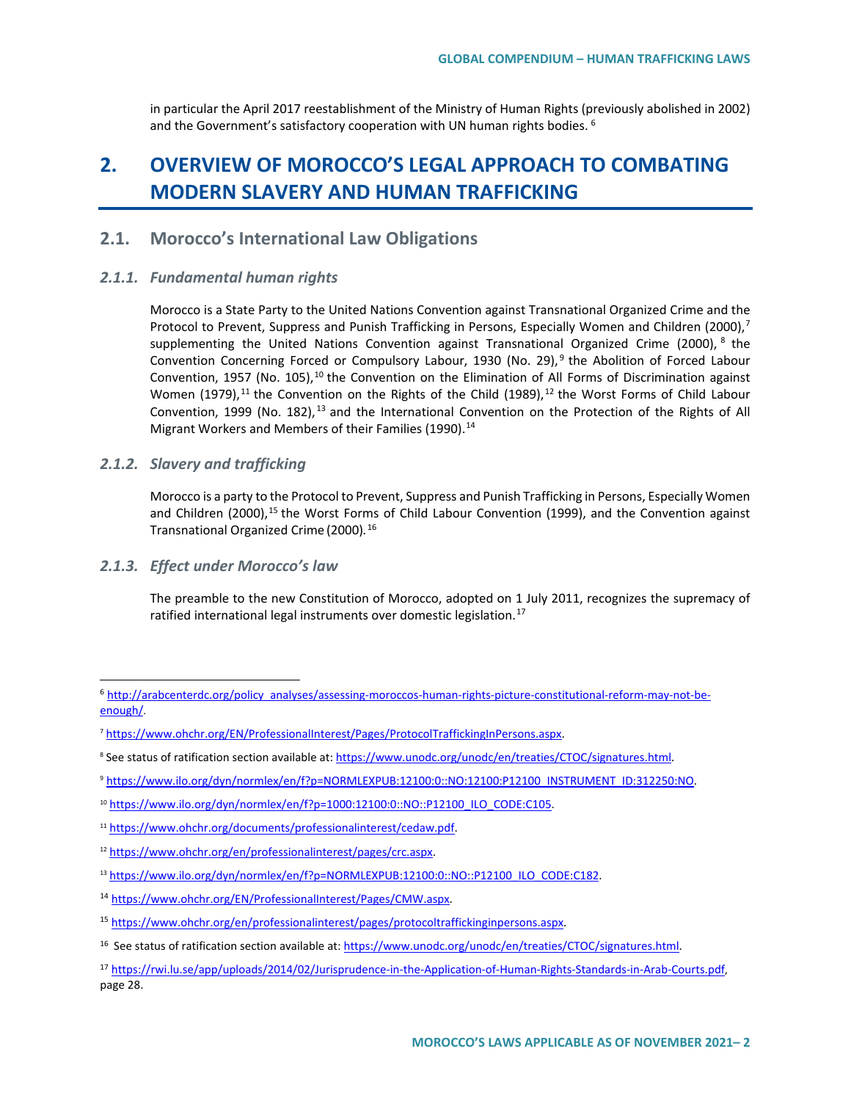in particular the April 2017 reestablishment of the Ministry of Human Rights (previously abolished in 2002) and the Government's satisfactory cooperation with UN human rights bodies. <sup>[6](#page-1-0)</sup>

# **2. OVERVIEW OF MOROCCO'S LEGAL APPROACH TO COMBATING MODERN SLAVERY AND HUMAN TRAFFICKING**

## **2.1. Morocco's International Law Obligations**

### *2.1.1. Fundamental human rights*

Morocco is a State Party to the United Nations Convention against Transnational Organized Crime and the Protocol to Prevent, Suppress and Punish Trafficking in Persons, Especially Women and Children (2000), $^7$  $^7$ supplementing the United Nations Convention against Transnational Organized Crime (2000), <sup>[8](#page-1-2)</sup> the Convention Concerning Forced or Compulsory Labour, 1[9](#page-1-3)30 (No. 29),<sup>9</sup> the Abolition of Forced Labour Convention, 1957 (No. [10](#page-1-4)5),  $10$  the Convention on the Elimination of All Forms of Discrimination against Women (1979),<sup>[11](#page-1-5)</sup> the Convention on the Rights of the Child (1989),<sup>[12](#page-1-6)</sup> the Worst Forms of Child Labour Convention, 1999 (No. 182), <sup>[13](#page-1-7)</sup> and the International Convention on the Protection of the Rights of All Migrant Workers and Members of their Families (1990).<sup>14</sup>

### *2.1.2. Slavery and trafficking*

Morocco is a party to the Protocol to Prevent, Suppress and Punish Trafficking in Persons, Especially Women and Children (2000),<sup>[15](#page-1-9)</sup> the Worst Forms of Child Labour Convention (1999), and the Convention against Transnational Organized Crime (2000)*.* [16](#page-1-10)

### *2.1.3. Effect under Morocco's law*

The preamble to the new Constitution of Morocco, adopted on 1 July 2011, recognizes the supremacy of ratified international legal instruments over domestic legislation.<sup>[17](#page-1-11)</sup>

<span id="page-1-0"></span> <sup>6</sup> [http://arabcenterdc.org/policy\\_analyses/assessing-moroccos-human-rights-picture-constitutional-reform-may-not-be](http://arabcenterdc.org/policy_analyses/assessing-moroccos-human-rights-picture-constitutional-reform-may-not-be-enough/)[enough/.](http://arabcenterdc.org/policy_analyses/assessing-moroccos-human-rights-picture-constitutional-reform-may-not-be-enough/)

<span id="page-1-1"></span><sup>&</sup>lt;sup>7</sup> [https://www.ohchr.org/EN/ProfessionalInterest/Pages/ProtocolTraffickingInPersons.aspx.](https://www.ohchr.org/EN/ProfessionalInterest/Pages/ProtocolTraffickingInPersons.aspx)

<span id="page-1-2"></span><sup>&</sup>lt;sup>8</sup> See status of ratification section available at: [https://www.unodc.org/unodc/en/treaties/CTOC/signatures.html.](https://www.unodc.org/unodc/en/treaties/CTOC/signatures.html)

<span id="page-1-3"></span><sup>9</sup> [https://www.ilo.org/dyn/normlex/en/f?p=NORMLEXPUB:12100:0::NO:12100:P12100\\_INSTRUMENT\\_ID:312250:NO.](https://www.ilo.org/dyn/normlex/en/f?p=NORMLEXPUB:12100:0::NO:12100:P12100_INSTRUMENT_ID:312250:NO)

<span id="page-1-4"></span><sup>10</sup> [https://www.ilo.org/dyn/normlex/en/f?p=1000:12100:0::NO::P12100\\_ILO\\_CODE:C105.](https://www.ilo.org/dyn/normlex/en/f?p=1000:12100:0::NO::P12100_ILO_CODE:C105)

<span id="page-1-5"></span><sup>11</sup> [https://www.ohchr.org/documents/professionalinterest/cedaw.pdf.](https://www.ohchr.org/documents/professionalinterest/cedaw.pdf)

<span id="page-1-6"></span><sup>12</sup> [https://www.ohchr.org/en/professionalinterest/pages/crc.aspx.](https://www.ohchr.org/en/professionalinterest/pages/crc.aspx) 

<span id="page-1-7"></span><sup>13</sup> [https://www.ilo.org/dyn/normlex/en/f?p=NORMLEXPUB:12100:0::NO::P12100\\_ILO\\_CODE:C182.](https://www.ilo.org/dyn/normlex/en/f?p=NORMLEXPUB:12100:0::NO::P12100_ILO_CODE:C182)

<span id="page-1-8"></span><sup>14</sup> [https://www.ohchr.org/EN/ProfessionalInterest/Pages/CMW.aspx.](https://www.ohchr.org/EN/ProfessionalInterest/Pages/CMW.aspx) 

<span id="page-1-9"></span><sup>15</sup> [https://www.ohchr.org/en/professionalinterest/pages/protocoltraffickinginpersons.aspx.](https://www.ohchr.org/en/professionalinterest/pages/protocoltraffickinginpersons.aspx) 

<span id="page-1-10"></span><sup>&</sup>lt;sup>16</sup> See status of ratification section available at[: https://www.unodc.org/unodc/en/treaties/CTOC/signatures.html.](https://www.unodc.org/unodc/en/treaties/CTOC/signatures.html)

<span id="page-1-11"></span><sup>17</sup> [https://rwi.lu.se/app/uploads/2014/02/Jurisprudence-in-the-Application-of-Human-Rights-Standards-in-Arab-Courts.pdf,](https://rwi.lu.se/app/uploads/2014/02/Jurisprudence-in-the-Application-of-Human-Rights-Standards-in-Arab-Courts.pdf)  page 28.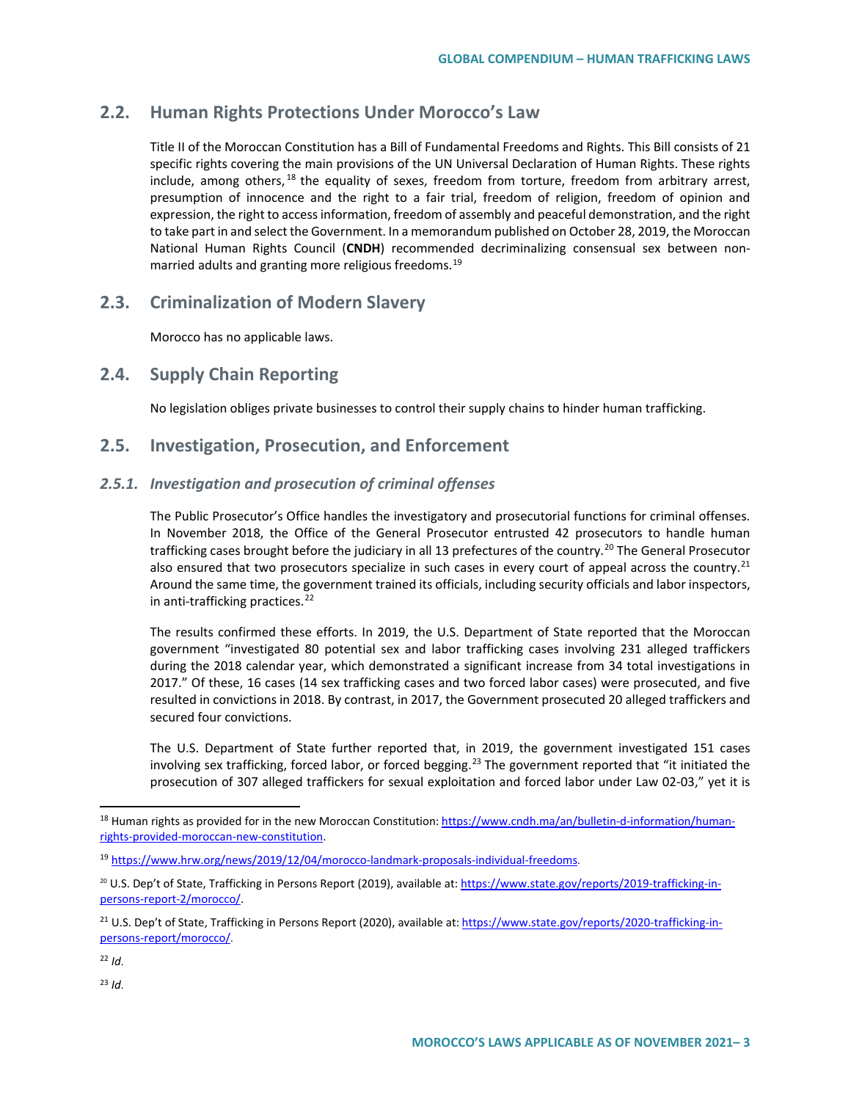# **2.2. Human Rights Protections Under Morocco's Law**

Title II of the Moroccan Constitution has a Bill of Fundamental Freedoms and Rights. This Bill consists of 21 specific rights covering the main provisions of the UN Universal Declaration of Human Rights. These rights include, among others,  $18$  the equality of sexes, freedom from torture, freedom from arbitrary arrest, presumption of innocence and the right to a fair trial, freedom of religion, freedom of opinion and expression, the right to access information, freedom of assembly and peaceful demonstration, and the right to take part in and select the Government. In a memorandum published on October 28, 2019, the Moroccan National Human Rights Council (**CNDH**) recommended decriminalizing consensual sex between nonmarried adults and granting more religious freedoms.[19](#page-2-1)

### **2.3. Criminalization of Modern Slavery**

Morocco has no applicable laws.

### **2.4. Supply Chain Reporting**

No legislation obliges private businesses to control their supply chains to hinder human trafficking.

## **2.5. Investigation, Prosecution, and Enforcement**

### *2.5.1. Investigation and prosecution of criminal offenses*

The Public Prosecutor's Office handles the investigatory and prosecutorial functions for criminal offenses. In November 2018, the Office of the General Prosecutor entrusted 42 prosecutors to handle human trafficking cases brought before the judiciary in all 13 prefectures of the country.<sup>[20](#page-2-2)</sup> The General Prosecutor also ensured that two prosecutors specialize in such cases in every court of appeal across the country.<sup>[21](#page-2-3)</sup> Around the same time, the government trained its officials, including security officials and labor inspectors, in anti-trafficking practices.<sup>[22](#page-2-4)</sup>

The results confirmed these efforts. In 2019, the U.S. Department of State reported that the Moroccan government "investigated 80 potential sex and labor trafficking cases involving 231 alleged traffickers during the 2018 calendar year, which demonstrated a significant increase from 34 total investigations in 2017." Of these, 16 cases (14 sex trafficking cases and two forced labor cases) were prosecuted, and five resulted in convictions in 2018. By contrast, in 2017, the Government prosecuted 20 alleged traffickers and secured four convictions.

The U.S. Department of State further reported that, in 2019, the government investigated 151 cases involving sex trafficking, forced labor, or forced begging.<sup>[23](#page-2-5)</sup> The government reported that "it initiated the prosecution of 307 alleged traffickers for sexual exploitation and forced labor under Law 02-03," yet it is

<span id="page-2-5"></span><sup>23</sup> *Id*.

<span id="page-2-0"></span> $18$  Human rights as provided for in the new Moroccan Constitution: [https://www.cndh.ma/an/bulletin-d-information/human](https://www.cndh.ma/an/bulletin-d-information/human-rights-provided-moroccan-new-constitution)[rights-provided-moroccan-new-constitution.](https://www.cndh.ma/an/bulletin-d-information/human-rights-provided-moroccan-new-constitution) 

<span id="page-2-1"></span><sup>19</sup> [https://www.hrw.org/news/2019/12/04/morocco-landmark-proposals-individual-freedoms.](https://www.hrw.org/news/2019/12/04/morocco-landmark-proposals-individual-freedoms)

<span id="page-2-2"></span><sup>&</sup>lt;sup>20</sup> U.S. Dep't of State, Trafficking in Persons Report (2019), available at: https://www.state.gov/reports/2019-trafficking-inpersons-report-2/morocco/.

<span id="page-2-3"></span><sup>&</sup>lt;sup>21</sup> U.S. Dep't of State, Trafficking in Persons Report (2020), available at: [https://www.state.gov/reports/2020-trafficking-in](https://www.state.gov/reports/2020-trafficking-in-persons-report/morocco/)[persons-report/morocco/.](https://www.state.gov/reports/2020-trafficking-in-persons-report/morocco/)

<span id="page-2-4"></span><sup>22</sup> *Id*.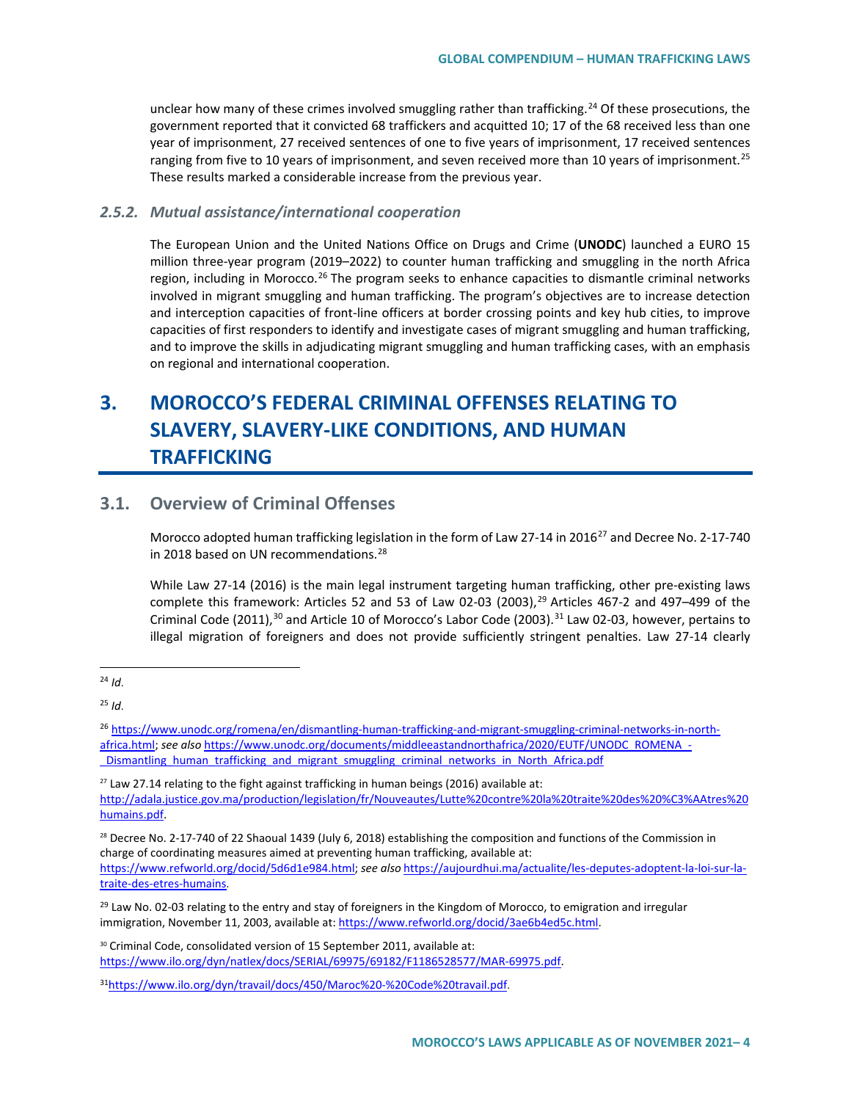unclear how many of these crimes involved smuggling rather than trafficking.<sup>[24](#page-3-0)</sup> Of these prosecutions, the government reported that it convicted 68 traffickers and acquitted 10; 17 of the 68 received less than one year of imprisonment, 27 received sentences of one to five years of imprisonment, 17 received sentences ranging from five to 10 years of imprisonment, and seven received more than 10 years of imprisonment.<sup>[25](#page-3-1)</sup> These results marked a considerable increase from the previous year.

### *2.5.2. Mutual assistance/international cooperation*

The European Union and the United Nations Office on Drugs and Crime (**UNODC**) launched a EURO 15 million three-year program (2019–2022) to counter human trafficking and smuggling in the north Africa region, including in Morocco.<sup>[26](#page-3-2)</sup> The program seeks to enhance capacities to dismantle criminal networks involved in migrant smuggling and human trafficking. The program's objectives are to increase detection and interception capacities of front-line officers at border crossing points and key hub cities, to improve capacities of first responders to identify and investigate cases of migrant smuggling and human trafficking, and to improve the skills in adjudicating migrant smuggling and human trafficking cases, with an emphasis on regional and international cooperation.

# **3. MOROCCO'S FEDERAL CRIMINAL OFFENSES RELATING TO SLAVERY, SLAVERY-LIKE CONDITIONS, AND HUMAN TRAFFICKING**

# **3.1. Overview of Criminal Offenses**

Morocco adopted human trafficking legislation in the form of Law [27](#page-3-3)-14 in 2016<sup>27</sup> and Decree No. 2-17-740 in 2018 based on UN recommendations.<sup>[28](#page-3-4)</sup>

While Law 27-14 (2016) is the main legal instrument targeting human trafficking, other pre-existing laws complete this framework: Articles 52 and 53 of Law 02-03 (2003),<sup>[29](#page-3-5)</sup> Articles 467-2 and 497-499 of the Criminal Code (2011),<sup>[30](#page-3-6)</sup> and Article 10 of Morocco's Labor Code (2003).<sup>[31](#page-3-7)</sup> Law 02-03, however, pertains to illegal migration of foreigners and does not provide sufficiently stringent penalties. Law 27-14 clearly

[traite-des-etres-humains.](https://aujourdhui.ma/actualite/les-deputes-adoptent-la-loi-sur-la-traite-des-etres-humains)

<span id="page-3-0"></span> <sup>24</sup> *Id*.

<span id="page-3-1"></span><sup>25</sup> *Id*.

<span id="page-3-2"></span><sup>26</sup> [https://www.unodc.org/romena/en/dismantling-human-trafficking-and-migrant-smuggling-criminal-networks-in-north](https://www.unodc.org/romena/en/dismantling-human-trafficking-and-migrant-smuggling-criminal-networks-in-north-africa.html)[africa.html;](https://www.unodc.org/romena/en/dismantling-human-trafficking-and-migrant-smuggling-criminal-networks-in-north-africa.html) see also [https://www.unodc.org/documents/middleeastandnorthafrica/2020/EUTF/UNODC\\_ROMENA\\_-](https://www.unodc.org/documents/middleeastandnorthafrica/2020/EUTF/UNODC_ROMENA_-_Dismantling_human_trafficking_and_migrant_smuggling_criminal_networks_in_North_Africa.pdf) Dismantling human\_trafficking\_and\_migrant\_smuggling\_criminal\_networks\_in\_North\_Africa.pdf

<span id="page-3-3"></span><sup>&</sup>lt;sup>27</sup> Law 27.14 relating to the fight against trafficking in human beings (2016) available at: [http://adala.justice.gov.ma/production/legislation/fr/Nouveautes/Lutte%20contre%20la%20traite%20des%20%C3%AAtres%20](http://adala.justice.gov.ma/production/legislation/fr/Nouveautes/Lutte%20contre%20la%20traite%20des%20%C3%AAtres%20humains.pdf) [humains.pdf.](http://adala.justice.gov.ma/production/legislation/fr/Nouveautes/Lutte%20contre%20la%20traite%20des%20%C3%AAtres%20humains.pdf)

<span id="page-3-4"></span><sup>&</sup>lt;sup>28</sup> Decree No. 2-17-740 of 22 Shaoual 1439 (July 6, 2018) establishing the composition and functions of the Commission in charge of coordinating measures aimed at preventing human trafficking, available at: [https://www.refworld.org/docid/5d6d1e984.html;](https://www.refworld.org/docid/5d6d1e984.html) *see also* [https://aujourdhui.ma/actualite/les-deputes-adoptent-la-loi-sur-la-](https://aujourdhui.ma/actualite/les-deputes-adoptent-la-loi-sur-la-traite-des-etres-humains)

<span id="page-3-5"></span> $29$  Law No. 02-03 relating to the entry and stay of foreigners in the Kingdom of Morocco, to emigration and irregular immigration, November 11, 2003, available at: [https://www.refworld.org/docid/3ae6b4ed5c.html.](https://www.refworld.org/docid/3ae6b4ed5c.html)

<span id="page-3-6"></span><sup>&</sup>lt;sup>30</sup> Criminal Code, consolidated version of 15 September 2011, available at: [https://www.ilo.org/dyn/natlex/docs/SERIAL/69975/69182/F1186528577/MAR-69975.pdf.](https://www.ilo.org/dyn/natlex/docs/SERIAL/69975/69182/F1186528577/MAR-69975.pdf)

<span id="page-3-7"></span><sup>3</sup>[1https://www.ilo.org/dyn/travail/docs/450/Maroc%20-%20Code%20travail.pdf.](https://www.ilo.org/dyn/travail/docs/450/Maroc%20-%20Code%20travail.pdf)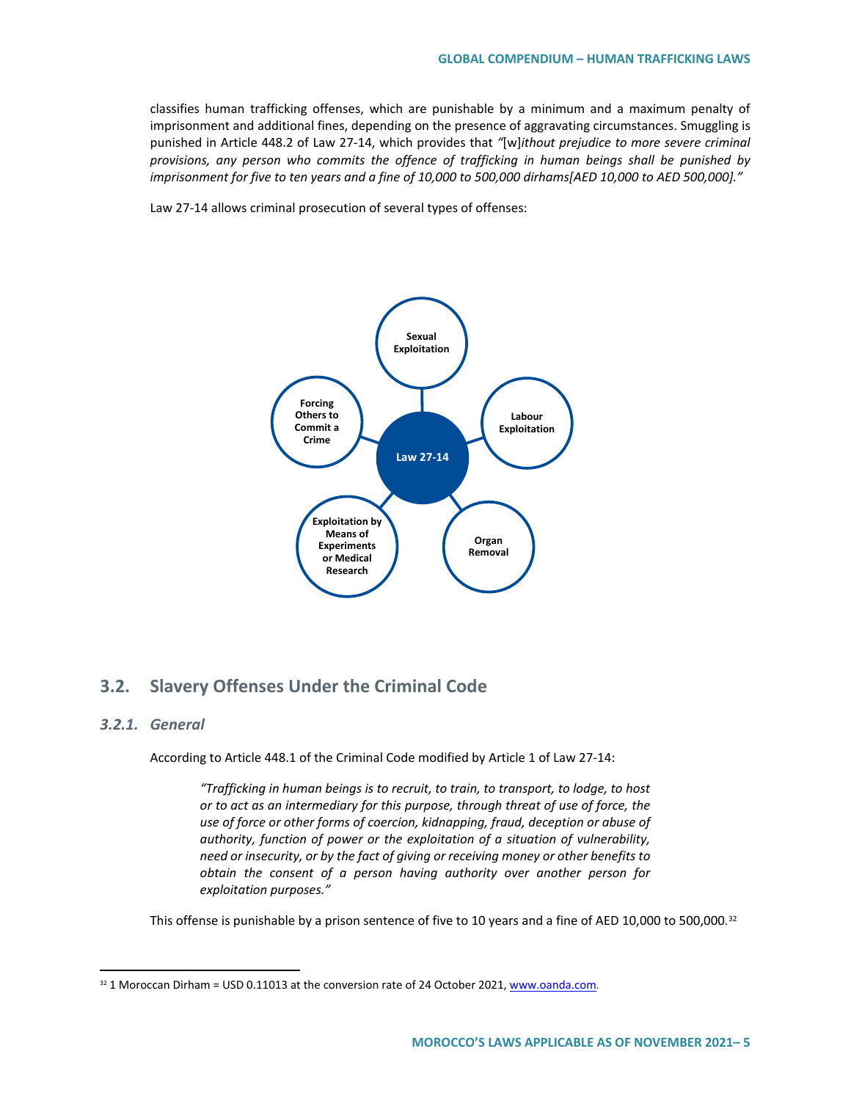classifies human trafficking offenses, which are punishable by a minimum and a maximum penalty of imprisonment and additional fines, depending on the presence of aggravating circumstances. Smuggling is punished in Article 448.2 of Law 27-14, which provides that *"*[w]*ithout prejudice to more severe criminal provisions, any person who commits the offence of trafficking in human beings shall be punished by imprisonment for five to ten years and a fine of 10,000 to 500,000 dirhams[AED 10,000 to AED 500,000]."*

Law 27-14 allows criminal prosecution of several types of offenses:



# **3.2. Slavery Offenses Under the Criminal Code**

### *3.2.1. General*

According to Article 448.1 of the Criminal Code modified by Article 1 of Law 27-14:

*"Trafficking in human beings is to recruit, to train, to transport, to lodge, to host or to act as an intermediary for this purpose, through threat of use of force, the use of force or other forms of coercion, kidnapping, fraud, deception or abuse of authority, function of power or the exploitation of a situation of vulnerability, need or insecurity, or by the fact of giving or receiving money or other benefits to obtain the consent of a person having authority over another person for exploitation purposes."*

This offense is punishable by a prison sentence of five to 10 years and a fine of AED 10,000 to 500,000.<sup>[32](#page-4-0)</sup>

<span id="page-4-0"></span><sup>&</sup>lt;sup>32</sup> 1 Moroccan Dirham = USD 0.11013 at the conversion rate of 24 October 2021, www.oanda.com.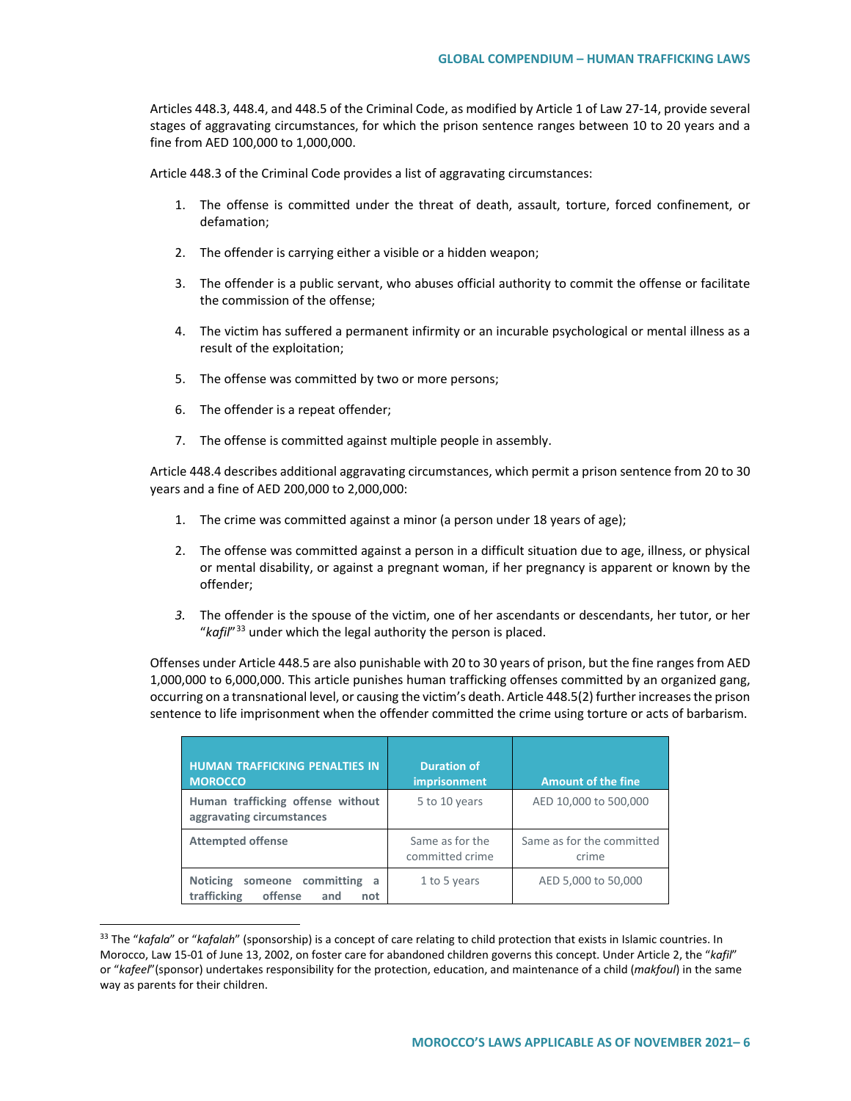Articles 448.3, 448.4, and 448.5 of the Criminal Code, as modified by Article 1 of Law 27-14, provide several stages of aggravating circumstances, for which the prison sentence ranges between 10 to 20 years and a fine from AED 100,000 to 1,000,000.

Article 448.3 of the Criminal Code provides a list of aggravating circumstances:

- 1. The offense is committed under the threat of death, assault, torture, forced confinement, or defamation;
- 2. The offender is carrying either a visible or a hidden weapon;
- 3. The offender is a public servant, who abuses official authority to commit the offense or facilitate the commission of the offense;
- 4. The victim has suffered a permanent infirmity or an incurable psychological or mental illness as a result of the exploitation;
- 5. The offense was committed by two or more persons;
- 6. The offender is a repeat offender;
- 7. The offense is committed against multiple people in assembly.

Article 448.4 describes additional aggravating circumstances, which permit a prison sentence from 20 to 30 years and a fine of AED 200,000 to 2,000,000:

- 1. The crime was committed against a minor (a person under 18 years of age);
- 2. The offense was committed against a person in a difficult situation due to age, illness, or physical or mental disability, or against a pregnant woman, if her pregnancy is apparent or known by the offender;
- *3.* The offender is the spouse of the victim, one of her ascendants or descendants, her tutor, or her "*kafil*"[33](#page-5-0) under which the legal authority the person is placed.

Offenses under Article 448.5 are also punishable with 20 to 30 years of prison, but the fine ranges from AED 1,000,000 to 6,000,000. This article punishes human trafficking offenses committed by an organized gang, occurring on a transnational level, or causing the victim's death. Article 448.5(2) further increases the prison sentence to life imprisonment when the offender committed the crime using torture or acts of barbarism.

| <b>HUMAN TRAFFICKING PENALTIES IN</b><br><b>MOROCCO</b>                               | <b>Duration of</b><br>imprisonment | <b>Amount of the fine</b>          |
|---------------------------------------------------------------------------------------|------------------------------------|------------------------------------|
| Human trafficking offense without<br>aggravating circumstances                        | 5 to 10 years                      | AED 10,000 to 500,000              |
| <b>Attempted offense</b>                                                              | Same as for the<br>committed crime | Same as for the committed<br>crime |
| <b>Noticing</b><br>committing<br>someone<br>a<br>trafficking<br>offense<br>and<br>not | 1 to 5 years                       | AED 5,000 to 50,000                |

<span id="page-5-0"></span> <sup>33</sup> The "*kafala*" or "*kafalah*" (sponsorship) is a concept of care relating to child protection that exists in Islamic countries. In Morocco, Law 15-01 of June 13, 2002, on foster care for abandoned children governs this concept. Under Article 2, the "*kafil*" or "*kafeel*"(sponsor) undertakes responsibility for the protection, education, and maintenance of a child (*makfoul*) in the same way as parents for their children.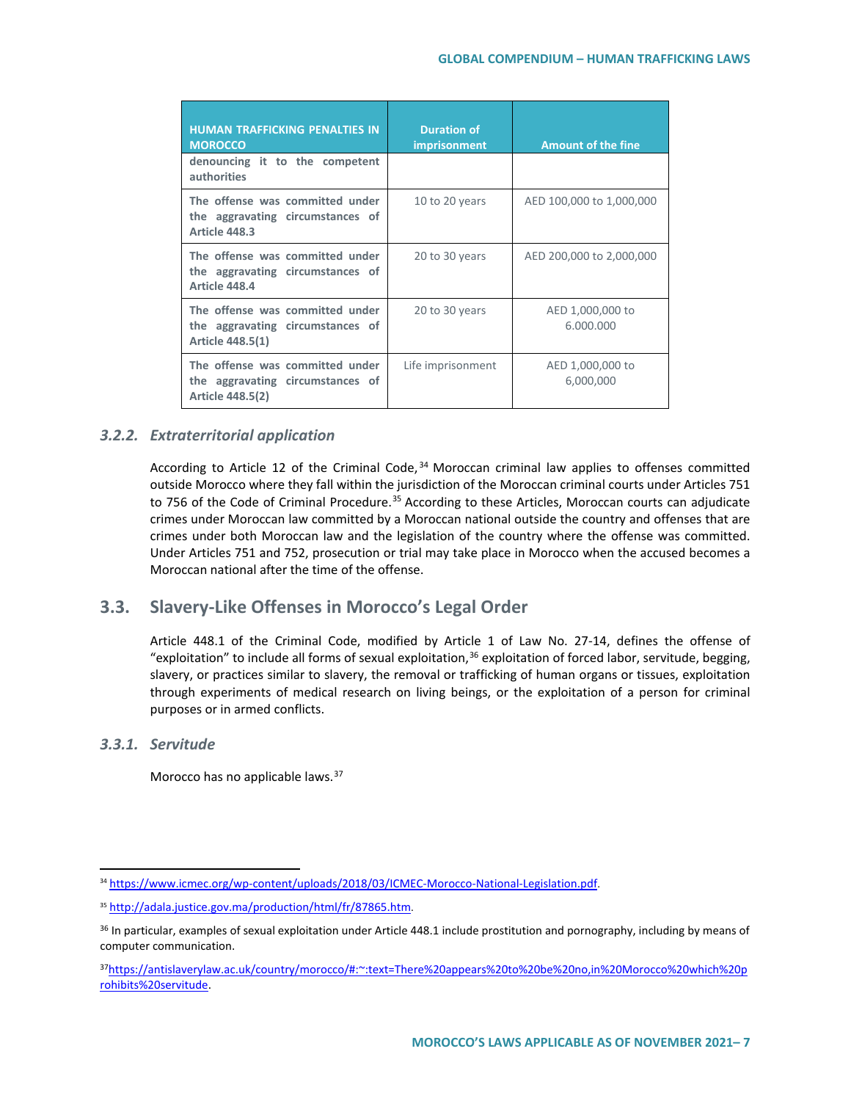| <b>HUMAN TRAFFICKING PENALTIES IN</b><br><b>MOROCCO</b>                                 | <b>Duration of</b><br>imprisonment | <b>Amount of the fine</b>     |
|-----------------------------------------------------------------------------------------|------------------------------------|-------------------------------|
| denouncing it to the competent<br><b>authorities</b>                                    |                                    |                               |
| The offense was committed under<br>the aggravating circumstances of<br>Article 448.3    | 10 to 20 years                     | AED 100,000 to 1,000,000      |
| The offense was committed under<br>the aggravating circumstances of<br>Article 448.4    | 20 to 30 years                     | AED 200,000 to 2,000,000      |
| The offense was committed under<br>the aggravating circumstances of<br>Article 448.5(1) | 20 to 30 years                     | AED 1,000,000 to<br>6.000.000 |
| The offense was committed under<br>the aggravating circumstances of<br>Article 448.5(2) | Life imprisonment                  | AED 1,000,000 to<br>6,000,000 |

### *3.2.2. Extraterritorial application*

According to Article 12 of the Criminal Code,  $34$  Moroccan criminal law applies to offenses committed outside Morocco where they fall within the jurisdiction of the Moroccan criminal courts under Articles 751 to 756 of the Code of Criminal Procedure.<sup>35</sup> According to these Articles, Moroccan courts can adjudicate crimes under Moroccan law committed by a Moroccan national outside the country and offenses that are crimes under both Moroccan law and the legislation of the country where the offense was committed. Under Articles 751 and 752, prosecution or trial may take place in Morocco when the accused becomes a Moroccan national after the time of the offense.

# **3.3. Slavery-Like Offenses in Morocco's Legal Order**

Article 448.1 of the Criminal Code, modified by Article 1 of Law No. 27-14, defines the offense of "exploitation" to include all forms of sexual exploitation,<sup>[36](#page-6-2)</sup> exploitation of forced labor, servitude, begging, slavery, or practices similar to slavery, the removal or trafficking of human organs or tissues, exploitation through experiments of medical research on living beings, or the exploitation of a person for criminal purposes or in armed conflicts.

## *3.3.1. Servitude*

Morocco has no applicable laws.<sup>[37](#page-6-3)</sup>

<span id="page-6-0"></span> <sup>34</sup> [https://www.icmec.org/wp-content/uploads/2018/03/ICMEC-Morocco-National-Legislation.pdf.](https://www.icmec.org/wp-content/uploads/2018/03/ICMEC-Morocco-National-Legislation.pdf)

<span id="page-6-1"></span><sup>35</sup> [http://adala.justice.gov.ma/production/html/fr/87865.htm.](http://adala.justice.gov.ma/production/html/fr/87865.htm)

<span id="page-6-2"></span><sup>&</sup>lt;sup>36</sup> In particular, examples of sexual exploitation under Article 448.1 include prostitution and pornography, including by means of computer communication.

<span id="page-6-3"></span><sup>3</sup>[7https://antislaverylaw.ac.uk/country/morocco/#:~:text=There%20appears%20to%20be%20no,in%20Morocco%20which%20p](https://antislaverylaw.ac.uk/country/morocco/#:%7E:text=There%20appears%20to%20be%20no,in%20Morocco%20which%20prohibits%20servitude) [rohibits%20servitude.](https://antislaverylaw.ac.uk/country/morocco/#:%7E:text=There%20appears%20to%20be%20no,in%20Morocco%20which%20prohibits%20servitude)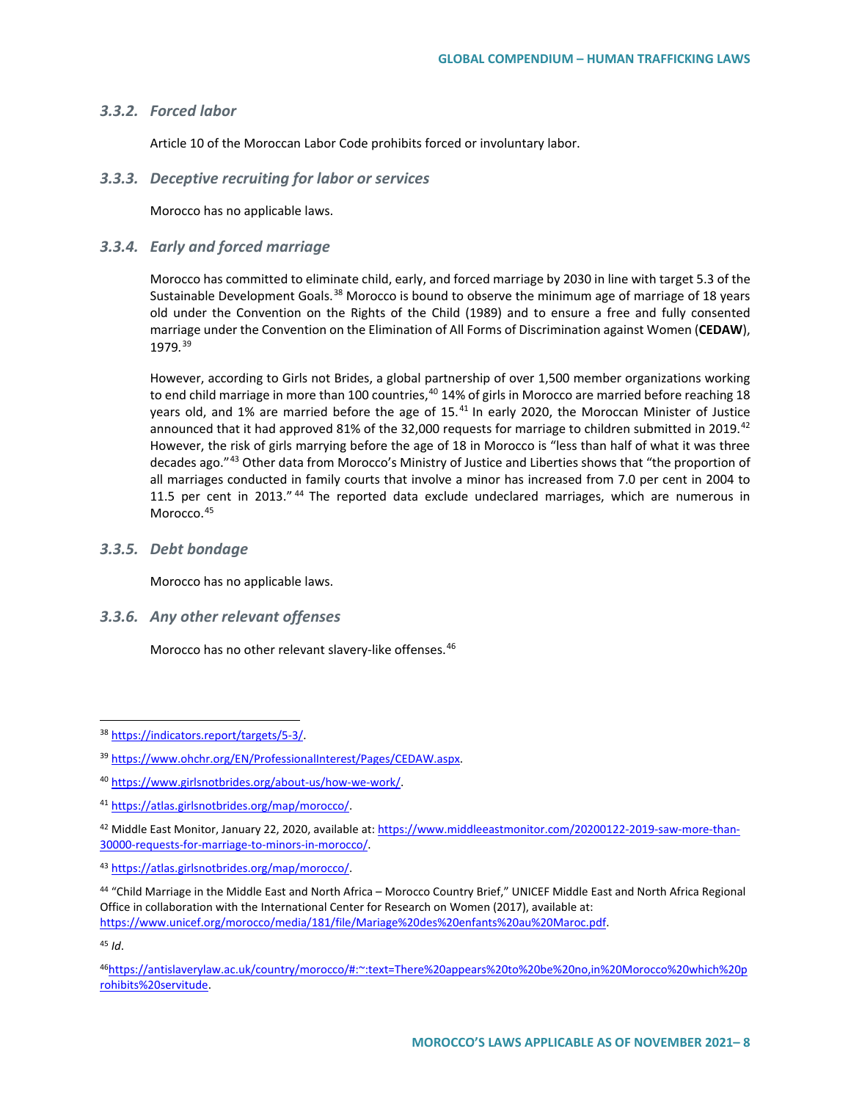### *3.3.2. Forced labor*

Article 10 of the Moroccan Labor Code prohibits forced or involuntary labor.

#### *3.3.3. Deceptive recruiting for labor or services*

Morocco has no applicable laws.

### *3.3.4. Early and forced marriage*

Morocco has committed to eliminate child, early, and forced marriage by 2030 in line with target 5.3 of the Sustainable Development Goals.<sup>[38](#page-7-0)</sup> Morocco is bound to observe the minimum age of marriage of 18 years old under the Convention on the Rights of the Child (1989) and to ensure a free and fully consented marriage under the Convention on the Elimination of All Forms of Discrimination against Women (**CEDAW**), 1979*.* [39](#page-7-1)

However, according to Girls not Brides, a global partnership of over 1,500 member organizations working to end child marriage in more than 100 countries, <sup>[40](#page-7-2)</sup> 14% of girls in Morocco are married before reaching 18 years old, and 1% are married before the age of 15.<sup>[41](#page-7-3)</sup> In early 2020, the Moroccan Minister of Justice announced that it had approved 81% of the 32,000 requests for marriage to children submitted in 2019.<sup>[42](#page-7-4)</sup> However, the risk of girls marrying before the age of 18 in Morocco is "less than half of what it was three decades ago."[43](#page-7-5) Other data from Morocco's Ministry of Justice and Liberties shows that "the proportion of all marriages conducted in family courts that involve a minor has increased from 7.0 per cent in 2004 to 11.5 per cent in 2013." <sup>[44](#page-7-6)</sup> The reported data exclude undeclared marriages, which are numerous in Morocco.<sup>[45](#page-7-7)</sup>

### *3.3.5. Debt bondage*

Morocco has no applicable laws.

#### *3.3.6. Any other relevant offenses*

Morocco has no other relevant slavery-like offenses.<sup>[46](#page-7-8)</sup>

<span id="page-7-7"></span><sup>45</sup> *Id*.

<span id="page-7-0"></span> <sup>38</sup> [https://indicators.report/targets/5-3/.](https://indicators.report/targets/5-3/)

<span id="page-7-1"></span><sup>39</sup> [https://www.ohchr.org/EN/ProfessionalInterest/Pages/CEDAW.aspx.](https://www.ohchr.org/EN/ProfessionalInterest/Pages/CEDAW.aspx)

<span id="page-7-2"></span><sup>40</sup> [https://www.girlsnotbrides.org/about-us/how-we-work/.](https://www.girlsnotbrides.org/about-us/how-we-work/) 

<span id="page-7-3"></span><sup>41</sup> [https://atlas.girlsnotbrides.org/map/morocco/.](https://atlas.girlsnotbrides.org/map/morocco/) 

<span id="page-7-4"></span><sup>&</sup>lt;sup>42</sup> Middle East Monitor, January 22, 2020, available at: [https://www.middleeastmonitor.com/20200122-2019-saw-more-than-](https://www.middleeastmonitor.com/20200122-2019-saw-more-than-30000-requests-for-marriage-to-minors-in-morocco/)[30000-requests-for-marriage-to-minors-in-morocco/.](https://www.middleeastmonitor.com/20200122-2019-saw-more-than-30000-requests-for-marriage-to-minors-in-morocco/)

<span id="page-7-5"></span><sup>43</sup> [https://atlas.girlsnotbrides.org/map/morocco/.](https://atlas.girlsnotbrides.org/map/morocco/)

<span id="page-7-6"></span><sup>44</sup> "Child Marriage in the Middle East and North Africa – Morocco Country Brief," UNICEF Middle East and North Africa Regional Office in collaboration with the International Center for Research on Women (2017), available at: [https://www.unicef.org/morocco/media/181/file/Mariage%20des%20enfants%20au%20Maroc.pdf.](https://www.unicef.org/morocco/media/181/file/Mariage%20des%20enfants%20au%20Maroc.pdf)

<span id="page-7-8"></span><sup>4</sup>[6https://antislaverylaw.ac.uk/country/morocco/#:~:text=There%20appears%20to%20be%20no,in%20Morocco%20which%20p](https://antislaverylaw.ac.uk/country/morocco/#:%7E:text=There%20appears%20to%20be%20no,in%20Morocco%20which%20prohibits%20servitude) [rohibits%20servitude.](https://antislaverylaw.ac.uk/country/morocco/#:%7E:text=There%20appears%20to%20be%20no,in%20Morocco%20which%20prohibits%20servitude)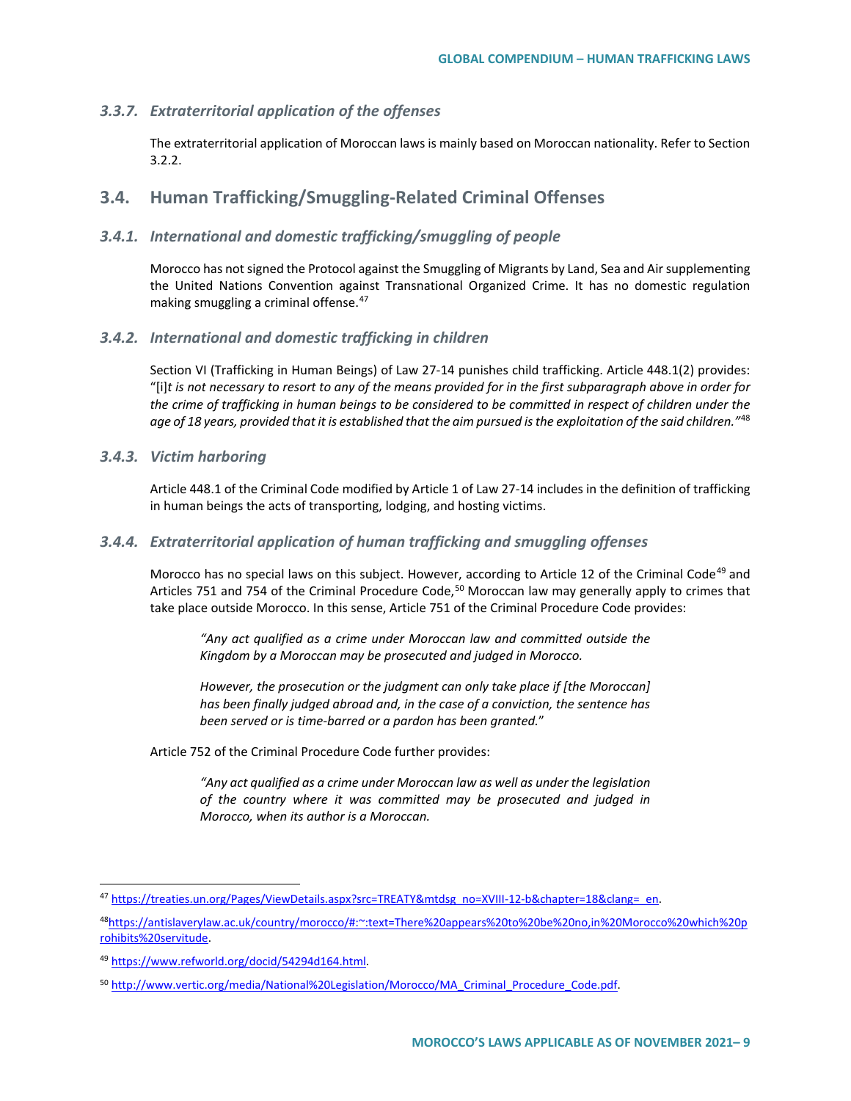### *3.3.7. Extraterritorial application of the offenses*

The extraterritorial application of Moroccan laws is mainly based on Moroccan nationality. Refer to Section 3.2.2.

## **3.4. Human Trafficking/Smuggling-Related Criminal Offenses**

### *3.4.1. International and domestic trafficking/smuggling of people*

Morocco has not signed the Protocol against the Smuggling of Migrants by Land, Sea and Air supplementing the United Nations Convention against Transnational Organized Crime. It has no domestic regulation making smuggling a criminal offense.<sup>[47](#page-8-0)</sup>

### *3.4.2. International and domestic trafficking in children*

Section VI (Trafficking in Human Beings) of Law 27-14 punishes child trafficking. Article 448.1(2) provides: "[i]*t is not necessary to resort to any of the means provided for in the first subparagraph above in order for the crime of trafficking in human beings to be considered to be committed in respect of children under the age of 18 years, provided that it is established that the aim pursued is the exploitation of the said children."*[48](#page-8-1)

#### *3.4.3. Victim harboring*

Article 448.1 of the Criminal Code modified by Article 1 of Law 27-14 includes in the definition of trafficking in human beings the acts of transporting, lodging, and hosting victims.

### *3.4.4. Extraterritorial application of human trafficking and smuggling offenses*

Morocco has no special laws on this subject. However, according to Article 12 of the Criminal Code<sup>[49](#page-8-2)</sup> and Articles 751 and 754 of the Criminal Procedure Code,<sup>[50](#page-8-3)</sup> Moroccan law may generally apply to crimes that take place outside Morocco. In this sense, Article 751 of the Criminal Procedure Code provides:

*"Any act qualified as a crime under Moroccan law and committed outside the Kingdom by a Moroccan may be prosecuted and judged in Morocco.*

*However, the prosecution or the judgment can only take place if [the Moroccan] has been finally judged abroad and, in the case of a conviction, the sentence has been served or is time-barred or a pardon has been granted.*"

Article 752 of the Criminal Procedure Code further provides:

*"Any act qualified as a crime under Moroccan law as well as under the legislation of the country where it was committed may be prosecuted and judged in Morocco, when its author is a Moroccan.*

<span id="page-8-0"></span> <sup>47</sup> [https://treaties.un.org/Pages/ViewDetails.aspx?src=TREATY&mtdsg\\_no=XVIII-12-b&chapter=18&clang=\\_en.](https://treaties.un.org/Pages/ViewDetails.aspx?src=TREATY&mtdsg_no=XVIII-12-b&chapter=18&clang=_en)

<span id="page-8-1"></span><sup>4</sup>[8https://antislaverylaw.ac.uk/country/morocco/#:~:text=There%20appears%20to%20be%20no,in%20Morocco%20which%20p](https://antislaverylaw.ac.uk/country/morocco/#:%7E:text=There%20appears%20to%20be%20no,in%20Morocco%20which%20prohibits%20servitude) [rohibits%20servitude.](https://antislaverylaw.ac.uk/country/morocco/#:%7E:text=There%20appears%20to%20be%20no,in%20Morocco%20which%20prohibits%20servitude)

<span id="page-8-2"></span><sup>49</sup> [https://www.refworld.org/docid/54294d164.html.](https://www.refworld.org/docid/54294d164.html) 

<span id="page-8-3"></span><sup>50</sup> http://www.vertic.org/media/National%20Legislation/Morocco/MA\_Criminal\_Procedure\_Code.pdf.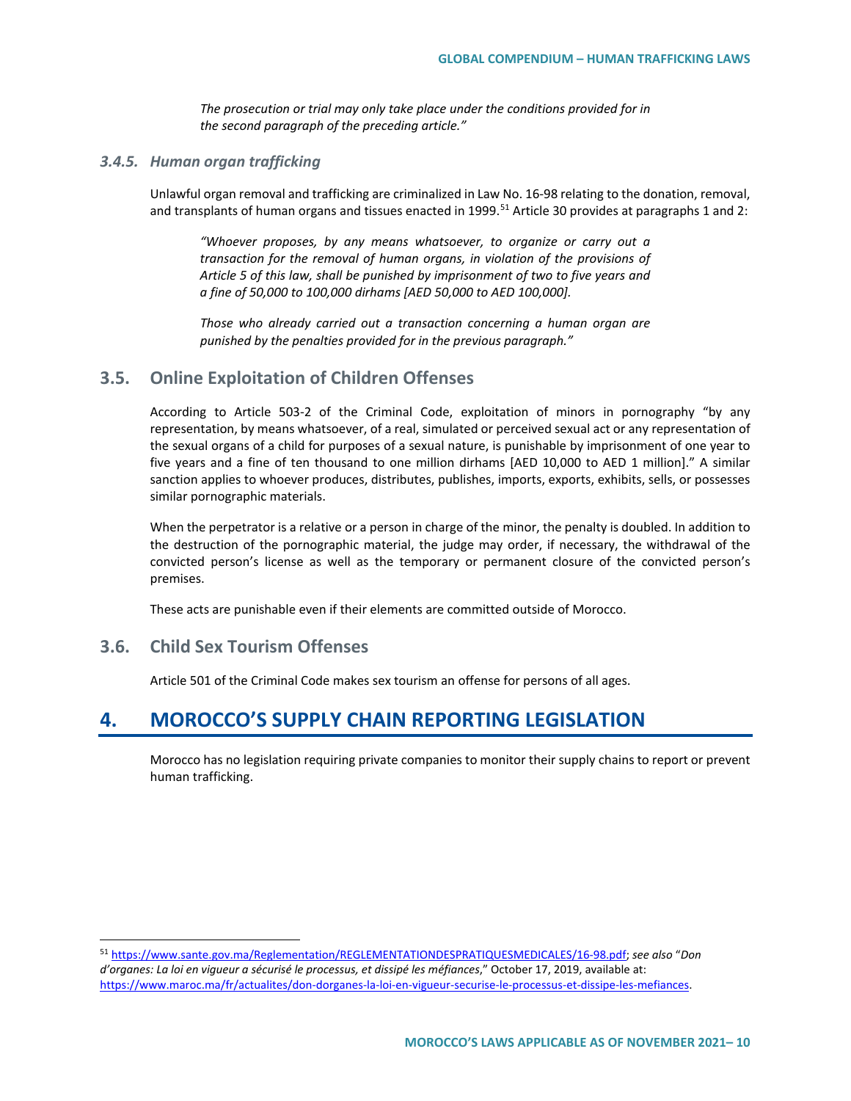*The prosecution or trial may only take place under the conditions provided for in the second paragraph of the preceding article."* 

#### *3.4.5. Human organ trafficking*

Unlawful organ removal and trafficking are criminalized in Law No. 16-98 relating to the donation, removal, and transplants of human organs and tissues enacted in 1999.<sup>[51](#page-9-0)</sup> Article 30 provides at paragraphs 1 and 2:

*"Whoever proposes, by any means whatsoever, to organize or carry out a transaction for the removal of human organs, in violation of the provisions of Article 5 of this law, shall be punished by imprisonment of two to five years and a fine of 50,000 to 100,000 dirhams [AED 50,000 to AED 100,000].*

*Those who already carried out a transaction concerning a human organ are punished by the penalties provided for in the previous paragraph."* 

### **3.5. Online Exploitation of Children Offenses**

According to Article 503-2 of the Criminal Code, exploitation of minors in pornography "by any representation, by means whatsoever, of a real, simulated or perceived sexual act or any representation of the sexual organs of a child for purposes of a sexual nature, is punishable by imprisonment of one year to five years and a fine of ten thousand to one million dirhams [AED 10,000 to AED 1 million]." A similar sanction applies to whoever produces, distributes, publishes, imports, exports, exhibits, sells, or possesses similar pornographic materials.

When the perpetrator is a relative or a person in charge of the minor, the penalty is doubled. In addition to the destruction of the pornographic material, the judge may order, if necessary, the withdrawal of the convicted person's license as well as the temporary or permanent closure of the convicted person's premises.

These acts are punishable even if their elements are committed outside of Morocco.

### **3.6. Child Sex Tourism Offenses**

Article 501 of the Criminal Code makes sex tourism an offense for persons of all ages.

# **4. MOROCCO'S SUPPLY CHAIN REPORTING LEGISLATION**

Morocco has no legislation requiring private companies to monitor their supply chains to report or prevent human trafficking.

<span id="page-9-0"></span> <sup>51</sup> [https://www.sante.gov.ma/Reglementation/REGLEMENTATIONDESPRATIQUESMEDICALES/16-98.pdf;](https://www.sante.gov.ma/Reglementation/REGLEMENTATIONDESPRATIQUESMEDICALES/16-98.pdf) *see also* "*Don d'organes: La loi en vigueur a sécurisé le processus, et dissipé les méfiances*," October 17, 2019, available at: [https://www.maroc.ma/fr/actualites/don-dorganes-la-loi-en-vigueur-securise-le-processus-et-dissipe-les-mefiances.](https://www.maroc.ma/fr/actualites/don-dorganes-la-loi-en-vigueur-securise-le-processus-et-dissipe-les-mefiances)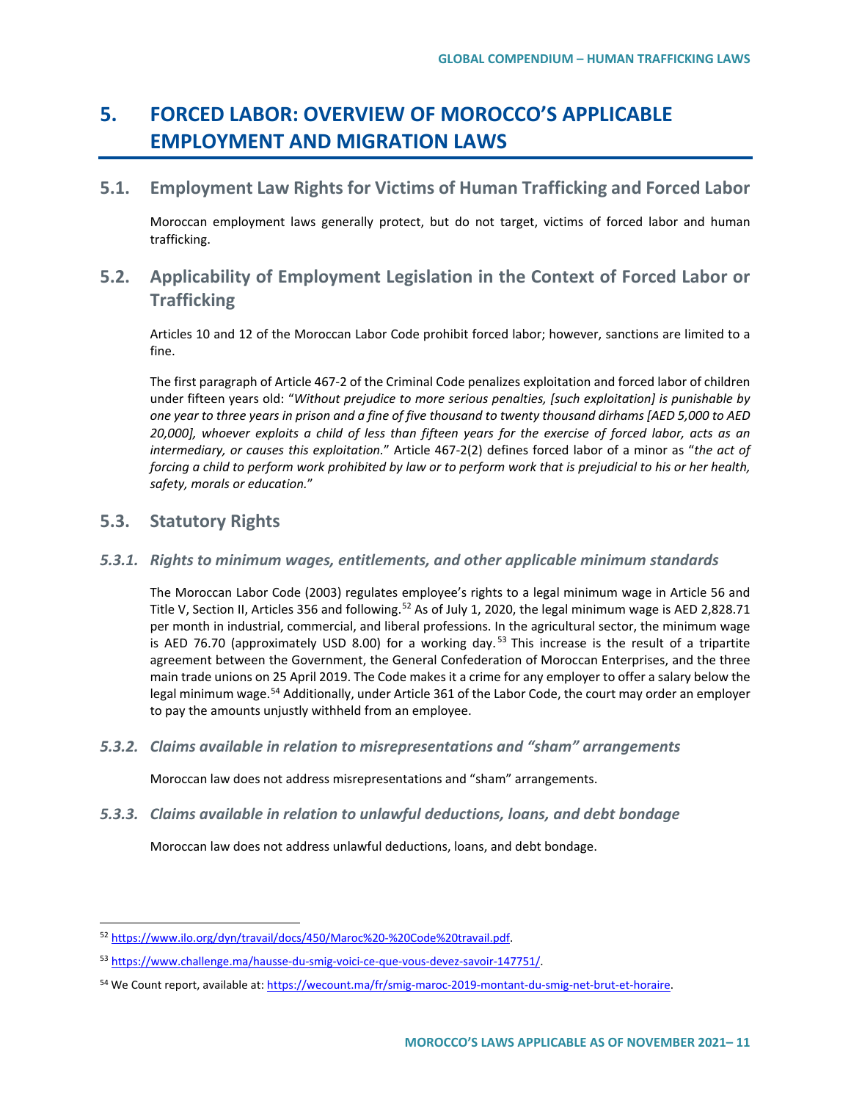# **5. FORCED LABOR: OVERVIEW OF MOROCCO'S APPLICABLE EMPLOYMENT AND MIGRATION LAWS**

## **5.1. Employment Law Rights for Victims of Human Trafficking and Forced Labor**

Moroccan employment laws generally protect, but do not target, victims of forced labor and human trafficking.

# **5.2. Applicability of Employment Legislation in the Context of Forced Labor or Trafficking**

Articles 10 and 12 of the Moroccan Labor Code prohibit forced labor; however, sanctions are limited to a fine.

The first paragraph of Article 467-2 of the Criminal Code penalizes exploitation and forced labor of children under fifteen years old: "*Without prejudice to more serious penalties, [such exploitation] is punishable by one year to three years in prison and a fine of five thousand to twenty thousand dirhams [AED 5,000 to AED 20,000], whoever exploits a child of less than fifteen years for the exercise of forced labor, acts as an intermediary, or causes this exploitation.*" Article 467-2(2) defines forced labor of a minor as "*the act of forcing a child to perform work prohibited by law or to perform work that is prejudicial to his or her health, safety, morals or education.*"

# **5.3. Statutory Rights**

### *5.3.1. Rights to minimum wages, entitlements, and other applicable minimum standards*

The Moroccan Labor Code (2003) regulates employee's rights to a legal minimum wage in Article 56 and Title V, Section II, Articles 356 and following.<sup>[52](#page-10-0)</sup> As of July 1, 2020, the legal minimum wage is AED 2,828.71 per month in industrial, commercial, and liberal professions. In the agricultural sector, the minimum wage is AED 76.70 (approximately USD 8.00) for a working day.<sup>[53](#page-10-1)</sup> This increase is the result of a tripartite agreement between the Government, the General Confederation of Moroccan Enterprises, and the three main trade unions on 25 April 2019. The Code makes it a crime for any employer to offer a salary below the legal minimum wage.<sup>[54](#page-10-2)</sup> Additionally, under Article 361 of the Labor Code, the court may order an employer to pay the amounts unjustly withheld from an employee.

*5.3.2. Claims available in relation to misrepresentations and "sham" arrangements*

Moroccan law does not address misrepresentations and "sham" arrangements.

*5.3.3. Claims available in relation to unlawful deductions, loans, and debt bondage*

Moroccan law does not address unlawful deductions, loans, and debt bondage.

<span id="page-10-0"></span> <sup>52</sup> [https://www.ilo.org/dyn/travail/docs/450/Maroc%20-%20Code%20travail.pdf.](https://www.ilo.org/dyn/travail/docs/450/Maroc%20-%20Code%20travail.pdf)

<span id="page-10-1"></span><sup>53</sup> [https://www.challenge.ma/hausse-du-smig-voici-ce-que-vous-devez-savoir-147751/.](https://www.challenge.ma/hausse-du-smig-voici-ce-que-vous-devez-savoir-147751/)

<span id="page-10-2"></span><sup>54</sup> We Count report, available at: https://wecount.ma/fr/smig-maroc-2019-montant-du-smig-net-brut-et-horaire.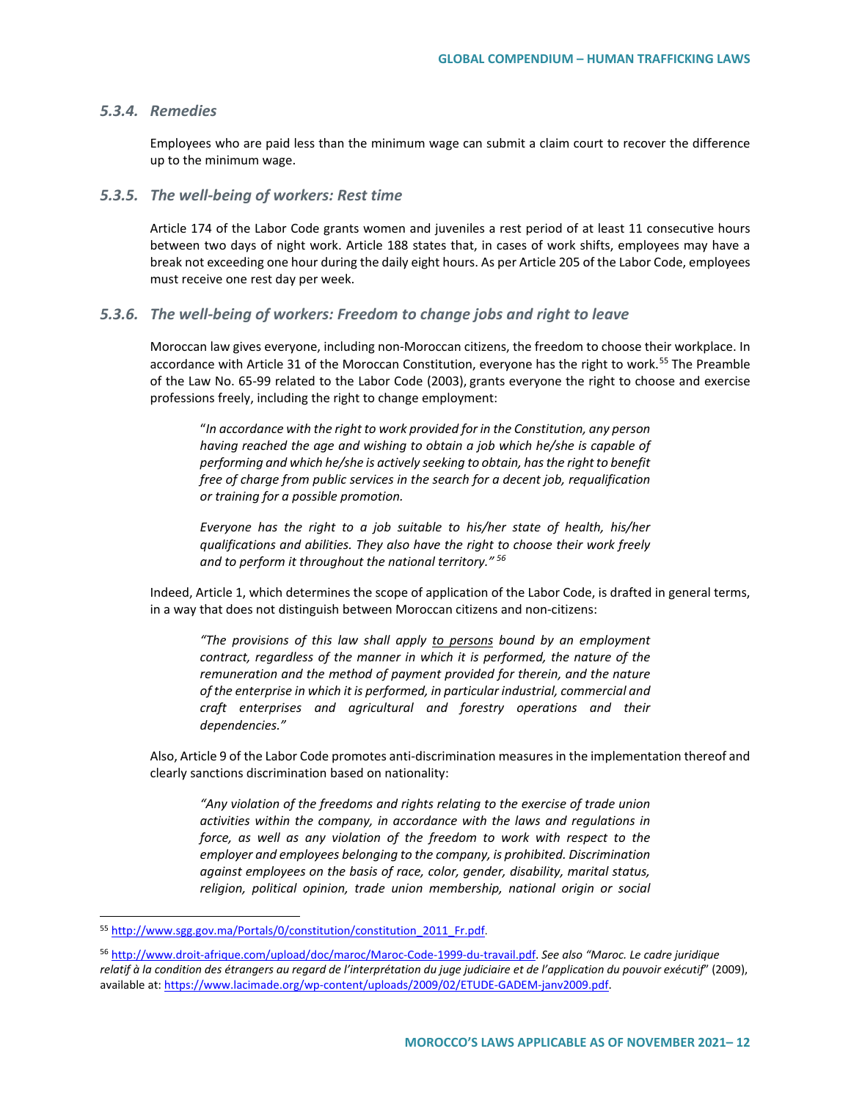### *5.3.4. Remedies*

Employees who are paid less than the minimum wage can submit a claim court to recover the difference up to the minimum wage.

#### *5.3.5. The well-being of workers: Rest time*

Article 174 of the Labor Code grants women and juveniles a rest period of at least 11 consecutive hours between two days of night work. Article 188 states that, in cases of work shifts, employees may have a break not exceeding one hour during the daily eight hours. As per Article 205 of the Labor Code, employees must receive one rest day per week.

#### *5.3.6. The well-being of workers: Freedom to change jobs and right to leave*

Moroccan law gives everyone, including non-Moroccan citizens, the freedom to choose their workplace. In accordance with Article 31 of the Moroccan Constitution, everyone has the right to work.<sup>[55](#page-11-0)</sup> The Preamble of the Law No. 65-99 related to the Labor Code (2003), grants everyone the right to choose and exercise professions freely, including the right to change employment:

"*In accordance with the right to work provided for in the Constitution, any person having reached the age and wishing to obtain a job which he/she is capable of performing and which he/she is actively seeking to obtain, has the right to benefit free of charge from public services in the search for a decent job, requalification or training for a possible promotion.*

*Everyone has the right to a job suitable to his/her state of health, his/her qualifications and abilities. They also have the right to choose their work freely and to perform it throughout the national territory." [56](#page-11-1)*

Indeed, Article 1, which determines the scope of application of the Labor Code, is drafted in general terms, in a way that does not distinguish between Moroccan citizens and non-citizens:

*"The provisions of this law shall apply to persons bound by an employment contract, regardless of the manner in which it is performed, the nature of the remuneration and the method of payment provided for therein, and the nature of the enterprise in which it is performed, in particular industrial, commercial and craft enterprises and agricultural and forestry operations and their dependencies."*

Also, Article 9 of the Labor Code promotes anti-discrimination measures in the implementation thereof and clearly sanctions discrimination based on nationality:

*"Any violation of the freedoms and rights relating to the exercise of trade union activities within the company, in accordance with the laws and regulations in force, as well as any violation of the freedom to work with respect to the employer and employees belonging to the company, is prohibited. Discrimination against employees on the basis of race, color, gender, disability, marital status, religion, political opinion, trade union membership, national origin or social* 

<span id="page-11-0"></span><sup>55</sup> http://www.sgg.gov.ma/Portals/0/constitution/constitution\_2011\_Fr.pdf.

<span id="page-11-1"></span><sup>56</sup> [http://www.droit-afrique.com/upload/doc/maroc/Maroc-Code-1999-du-travail.pdf.](http://www.droit-afrique.com/upload/doc/maroc/Maroc-Code-1999-du-travail.pdf) *See also "Maroc. Le cadre juridique relatif à la condition des étrangers au regard de l'interprétation du juge judiciaire et de l'application du pouvoir exécutif*" (2009), available at[: https://www.lacimade.org/wp-content/uploads/2009/02/ETUDE-GADEM-janv2009.pdf.](https://www.lacimade.org/wp-content/uploads/2009/02/ETUDE-GADEM-janv2009.pdf)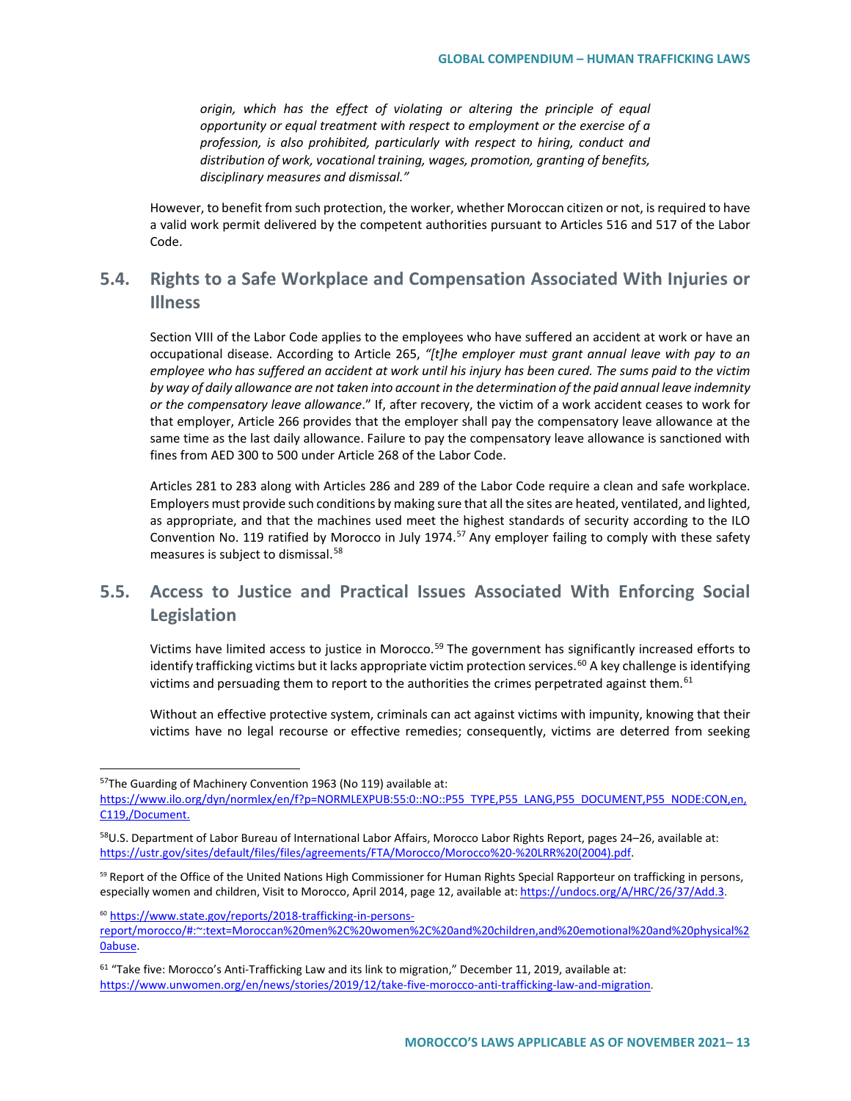*origin, which has the effect of violating or altering the principle of equal opportunity or equal treatment with respect to employment or the exercise of a profession, is also prohibited, particularly with respect to hiring, conduct and distribution of work, vocational training, wages, promotion, granting of benefits, disciplinary measures and dismissal."*

However, to benefit from such protection, the worker, whether Moroccan citizen or not, is required to have a valid work permit delivered by the competent authorities pursuant to Articles 516 and 517 of the Labor Code.

# **5.4. Rights to a Safe Workplace and Compensation Associated With Injuries or Illness**

Section VIII of the Labor Code applies to the employees who have suffered an accident at work or have an occupational disease. According to Article 265, *"[t]he employer must grant annual leave with pay to an employee who has suffered an accident at work until his injury has been cured. The sums paid to the victim by way of daily allowance are not taken into account in the determination of the paid annual leave indemnity or the compensatory leave allowance*." If, after recovery, the victim of a work accident ceases to work for that employer, Article 266 provides that the employer shall pay the compensatory leave allowance at the same time as the last daily allowance. Failure to pay the compensatory leave allowance is sanctioned with fines from AED 300 to 500 under Article 268 of the Labor Code.

Articles 281 to 283 along with Articles 286 and 289 of the Labor Code require a clean and safe workplace. Employers must provide such conditions by making sure that all the sites are heated, ventilated, and lighted, as appropriate, and that the machines used meet the highest standards of security according to the ILO Convention No. 119 ratified by Morocco in July 1974.<sup>[57](#page-12-0)</sup> Any employer failing to comply with these safety measures is subject to dismissal.<sup>[58](#page-12-1)</sup>

# **5.5. Access to Justice and Practical Issues Associated With Enforcing Social Legislation**

Victims have limited access to justice in Morocco.<sup>[59](#page-12-2)</sup> The government has significantly increased efforts to identify trafficking victims but it lacks appropriate victim protection services.<sup>[60](#page-12-3)</sup> A key challenge is identifying victims and persuading them to report to the authorities the crimes perpetrated against them. $61$ 

Without an effective protective system, criminals can act against victims with impunity, knowing that their victims have no legal recourse or effective remedies; consequently, victims are deterred from seeking

<span id="page-12-3"></span><sup>60</sup> [https://www.state.gov/reports/2018-trafficking-in-persons-](https://www.state.gov/reports/2018-trafficking-in-persons-report/morocco/#:%7E:text=Moroccan%20men%2C%20women%2C%20and%20children,and%20emotional%20and%20physical%20abuse.)

<span id="page-12-0"></span><sup>57</sup>The Guarding of Machinery Convention 1963 (No 119) available at:

[https://www.ilo.org/dyn/normlex/en/f?p=NORMLEXPUB:55:0::NO::P55\\_TYPE,P55\\_LANG,P55\\_DOCUMENT,P55\\_NODE:CON,en,](https://www.ilo.org/dyn/normlex/en/f?p=NORMLEXPUB:55:0::NO::P55_TYPE,P55_LANG,P55_DOCUMENT,P55_NODE:CON,en,C119,/Document) [C119,/Document.](https://www.ilo.org/dyn/normlex/en/f?p=NORMLEXPUB:55:0::NO::P55_TYPE,P55_LANG,P55_DOCUMENT,P55_NODE:CON,en,C119,/Document)

<span id="page-12-1"></span><sup>&</sup>lt;sup>58</sup>U.S. Department of Labor Bureau of International Labor Affairs, Morocco Labor Rights Report, pages 24–26, available at: [https://ustr.gov/sites/default/files/files/agreements/FTA/Morocco/Morocco%20-%20LRR%20\(2004\).pdf.](https://ustr.gov/sites/default/files/files/agreements/FTA/Morocco/Morocco%20-%20LRR%20(2004).pdf)

<span id="page-12-2"></span><sup>59</sup> Report of the Office of the United Nations High Commissioner for Human Rights Special Rapporteur on trafficking in persons, especially women and children, Visit to Morocco, April 2014, page 12, available at: [https://undocs.org/A/HRC/26/37/Add.3.](https://undocs.org/A/HRC/26/37/Add.3)

[report/morocco/#:~:text=Moroccan%20men%2C%20women%2C%20and%20children,and%20emotional%20and%20physical%2](https://www.state.gov/reports/2018-trafficking-in-persons-report/morocco/#:%7E:text=Moroccan%20men%2C%20women%2C%20and%20children,and%20emotional%20and%20physical%20abuse.) [0abuse.](https://www.state.gov/reports/2018-trafficking-in-persons-report/morocco/#:%7E:text=Moroccan%20men%2C%20women%2C%20and%20children,and%20emotional%20and%20physical%20abuse.)

<span id="page-12-4"></span><sup>&</sup>lt;sup>61</sup> "Take five: Morocco's Anti-Trafficking Law and its link to migration," December 11, 2019, available at: [https://www.unwomen.org/en/news/stories/2019/12/take-five-morocco-anti-trafficking-law-and-migration.](https://www.unwomen.org/en/news/stories/2019/12/take-five-morocco-anti-trafficking-law-and-migration)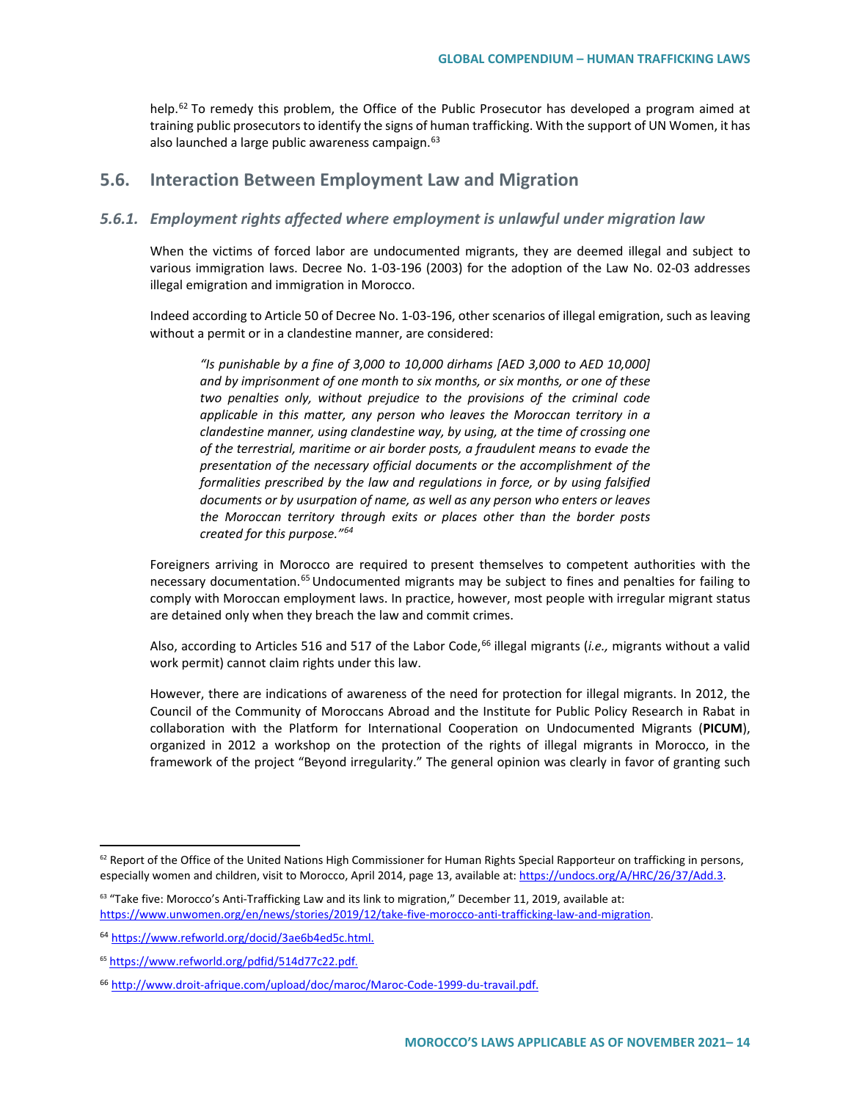help.<sup>[62](#page-13-0)</sup> To remedy this problem, the Office of the Public Prosecutor has developed a program aimed at training public prosecutors to identify the signs of human trafficking. With the support of UN Women, it has also launched a large public awareness campaign.<sup>[63](#page-13-1)</sup>

## **5.6. Interaction Between Employment Law and Migration**

### *5.6.1. Employment rights affected where employment is unlawful under migration law*

When the victims of forced labor are undocumented migrants, they are deemed illegal and subject to various immigration laws. Decree No. 1-03-196 (2003) for the adoption of the Law No. 02-03 addresses illegal emigration and immigration in Morocco.

Indeed according to Article 50 of Decree No. 1-03-196, other scenarios of illegal emigration, such as leaving without a permit or in a clandestine manner, are considered:

*"Is punishable by a fine of 3,000 to 10,000 dirhams [AED 3,000 to AED 10,000] and by imprisonment of one month to six months, or six months, or one of these two penalties only, without prejudice to the provisions of the criminal code applicable in this matter, any person who leaves the Moroccan territory in a clandestine manner, using clandestine way, by using, at the time of crossing one of the terrestrial, maritime or air border posts, a fraudulent means to evade the presentation of the necessary official documents or the accomplishment of the formalities prescribed by the law and regulations in force, or by using falsified documents or by usurpation of name, as well as any person who enters or leaves the Moroccan territory through exits or places other than the border posts created for this purpose."[64](#page-13-2)*

Foreigners arriving in Morocco are required to present themselves to competent authorities with the necessary documentation.<sup>[65](#page-13-3)</sup> Undocumented migrants may be subject to fines and penalties for failing to comply with Moroccan employment laws. In practice, however, most people with irregular migrant status are detained only when they breach the law and commit crimes.

Also, according to Articles 516 and 517 of the Labor Code,<sup>[66](#page-13-4)</sup> illegal migrants (*i.e.*, migrants without a valid work permit) cannot claim rights under this law.

However, there are indications of awareness of the need for protection for illegal migrants. In 2012, the Council of the Community of Moroccans Abroad and the Institute for Public Policy Research in Rabat in collaboration with the Platform for International Cooperation on Undocumented Migrants (**PICUM**), organized in 2012 a workshop on the protection of the rights of illegal migrants in Morocco, in the framework of the project "Beyond irregularity." The general opinion was clearly in favor of granting such

<span id="page-13-0"></span> $62$  Report of the Office of the United Nations High Commissioner for Human Rights Special Rapporteur on trafficking in persons, especially women and children, visit to Morocco, April 2014, page 13, available at[: https://undocs.org/A/HRC/26/37/Add.3.](https://undocs.org/A/HRC/26/37/Add.3)

<span id="page-13-1"></span> $63$  "Take five: Morocco's Anti-Trafficking Law and its link to migration," December 11, 2019, available at: [https://www.unwomen.org/en/news/stories/2019/12/take-five-morocco-anti-trafficking-law-and-migration.](https://www.unwomen.org/en/news/stories/2019/12/take-five-morocco-anti-trafficking-law-and-migration)

<span id="page-13-2"></span><sup>64</sup> [https://www.refworld.org/docid/3ae6b4ed5c.html.](https://www.refworld.org/docid/3ae6b4ed5c.html)

<span id="page-13-3"></span><sup>65</sup> [https://www.refworld.org/pdfid/514d77c22.pdf.](https://www.refworld.org/pdfid/514d77c22.pdf) 

<span id="page-13-4"></span><sup>66</sup> [http://www.droit-afrique.com/upload/doc/maroc/Maroc-Code-1999-du-travail.pdf.](http://www.droit-afrique.com/upload/doc/maroc/Maroc-Code-1999-du-travail.pdf)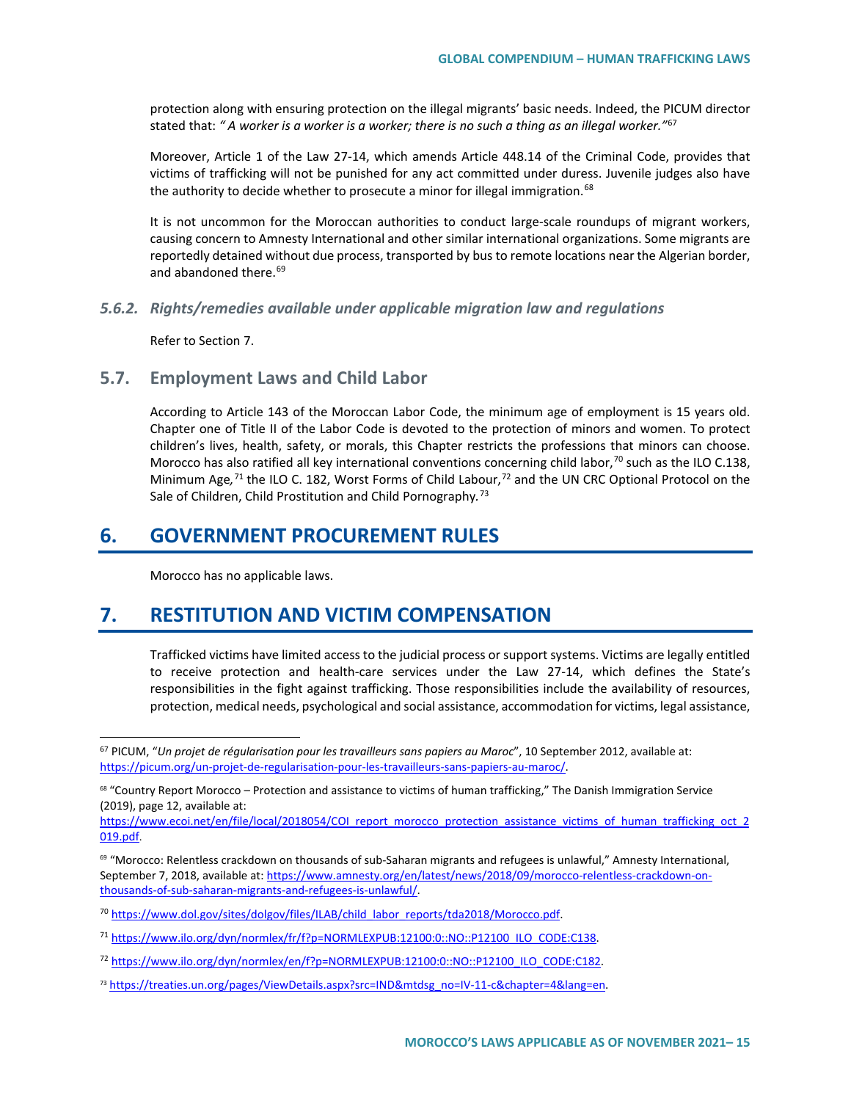protection along with ensuring protection on the illegal migrants' basic needs. Indeed, the PICUM director stated that: *" A worker is a worker is a worker; there is no such a thing as an illegal worker."*[67](#page-14-0)

Moreover, Article 1 of the Law 27-14, which amends Article 448.14 of the Criminal Code, provides that victims of trafficking will not be punished for any act committed under duress. Juvenile judges also have the authority to decide whether to prosecute a minor for illegal immigration.<sup>[68](#page-14-1)</sup>

It is not uncommon for the Moroccan authorities to conduct large-scale roundups of migrant workers, causing concern to Amnesty International and other similar international organizations. Some migrants are reportedly detained without due process, transported by bus to remote locations near the Algerian border, and abandoned there.<sup>[69](#page-14-2)</sup>

#### *5.6.2. Rights/remedies available under applicable migration law and regulations*

Refer to Section 7.

### **5.7. Employment Laws and Child Labor**

According to Article 143 of the Moroccan Labor Code, the minimum age of employment is 15 years old. Chapter one of Title II of the Labor Code is devoted to the protection of minors and women. To protect children's lives, health, safety, or morals, this Chapter restricts the professions that minors can choose. Morocco has also ratified all key international conventions concerning child labor, $70$  such as the ILO C.138, Minimum Age,<sup>[71](#page-14-4)</sup> the ILO C. 182, Worst Forms of Child Labour,<sup>[72](#page-14-5)</sup> and the UN CRC Optional Protocol on the Sale of Children, Child Prostitution and Child Pornography*.* [73](#page-14-6)

# **6. GOVERNMENT PROCUREMENT RULES**

Morocco has no applicable laws.

# **7. RESTITUTION AND VICTIM COMPENSATION**

Trafficked victims have limited access to the judicial process or support systems. Victims are legally entitled to receive protection and health-care services under the Law 27-14, which defines the State's responsibilities in the fight against trafficking. Those responsibilities include the availability of resources, protection, medical needs, psychological and social assistance, accommodation for victims, legal assistance,

<span id="page-14-0"></span> <sup>67</sup> PICUM, "*Un projet de régularisation pour les travailleurs sans papiers au Maroc*", 10 September 2012, available at: [https://picum.org/un-projet-de-regularisation-pour-les-travailleurs-sans-papiers-au-maroc/.](https://picum.org/un-projet-de-regularisation-pour-les-travailleurs-sans-papiers-au-maroc/)

<span id="page-14-1"></span><sup>68</sup> "Country Report Morocco – Protection and assistance to victims of human trafficking," The Danish Immigration Service (2019), page 12, available at:

[https://www.ecoi.net/en/file/local/2018054/COI\\_report\\_morocco\\_protection\\_assistance\\_victims\\_of\\_human\\_trafficking\\_oct\\_2](https://www.ecoi.net/en/file/local/2018054/COI_report_morocco_protection_assistance_victims_of_human_trafficking_oct_2019.pdf) [019.pdf.](https://www.ecoi.net/en/file/local/2018054/COI_report_morocco_protection_assistance_victims_of_human_trafficking_oct_2019.pdf)

<span id="page-14-2"></span><sup>69</sup> "Morocco: Relentless crackdown on thousands of sub-Saharan migrants and refugees is unlawful," Amnesty International, September 7, 2018, available at: [https://www.amnesty.org/en/latest/news/2018/09/morocco-relentless-crackdown-on](https://www.amnesty.org/en/latest/news/2018/09/morocco-relentless-crackdown-on-thousands-of-sub-saharan-migrants-and-refugees-is-unlawful/)[thousands-of-sub-saharan-migrants-and-refugees-is-unlawful/.](https://www.amnesty.org/en/latest/news/2018/09/morocco-relentless-crackdown-on-thousands-of-sub-saharan-migrants-and-refugees-is-unlawful/)

<span id="page-14-3"></span><sup>&</sup>lt;sup>70</sup> [https://www.dol.gov/sites/dolgov/files/ILAB/child\\_labor\\_reports/tda2018/Morocco.pdf.](https://www.dol.gov/sites/dolgov/files/ILAB/child_labor_reports/tda2018/Morocco.pdf)

<span id="page-14-4"></span><sup>&</sup>lt;sup>71</sup> [https://www.ilo.org/dyn/normlex/fr/f?p=NORMLEXPUB:12100:0::NO::P12100\\_ILO\\_CODE:C138.](https://www.ilo.org/dyn/normlex/fr/f?p=NORMLEXPUB:12100:0::NO::P12100_ILO_CODE:C138)

<span id="page-14-5"></span><sup>72</sup> [https://www.ilo.org/dyn/normlex/en/f?p=NORMLEXPUB:12100:0::NO::P12100\\_ILO\\_CODE:C182.](https://www.ilo.org/dyn/normlex/en/f?p=NORMLEXPUB:12100:0::NO::P12100_ILO_CODE:C182) 

<span id="page-14-6"></span><sup>73</sup> https://treaties.un.org/pages/ViewDetails.aspx?src=IND&mtdsg\_no=IV-11-c&chapter=4&lang=en.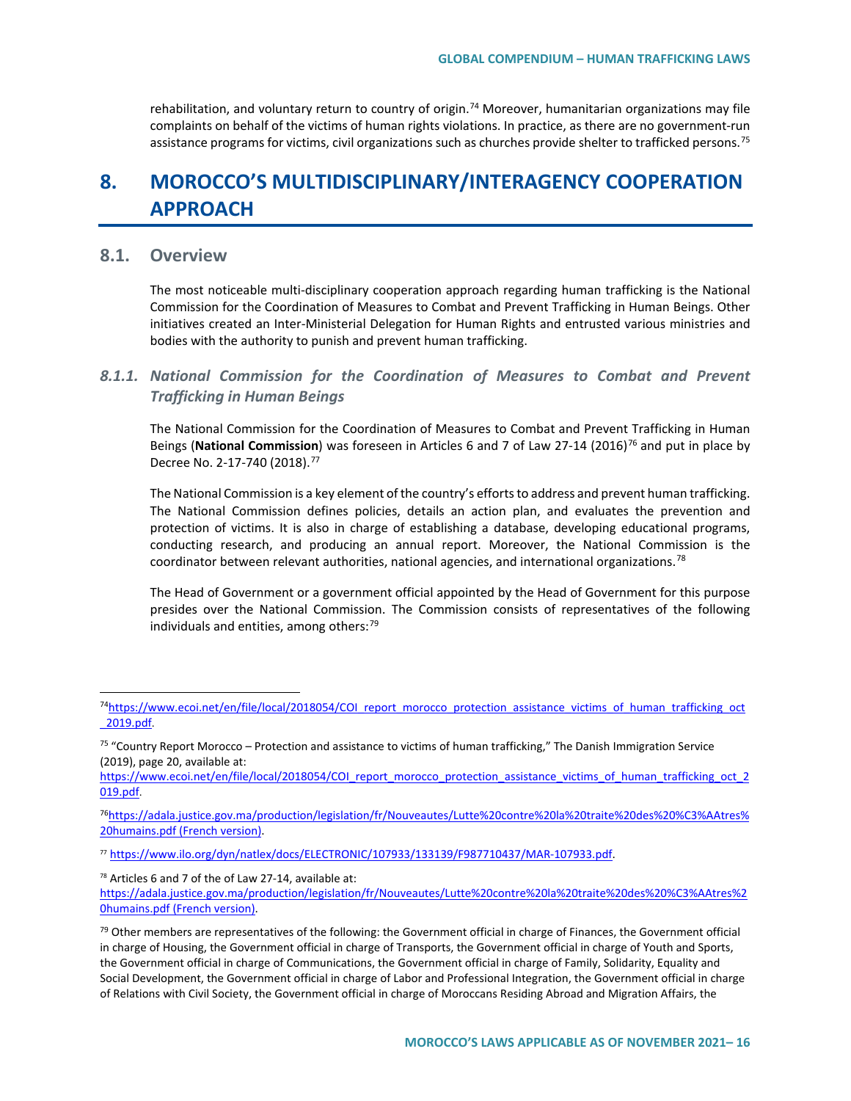rehabilitation, and voluntary return to country of origin.<sup>[74](#page-15-0)</sup> Moreover, humanitarian organizations may file complaints on behalf of the victims of human rights violations. In practice, as there are no government-run assistance programs for victims, civil organizations such as churches provide shelter to trafficked persons.<sup>[75](#page-15-1)</sup>

# **8. MOROCCO'S MULTIDISCIPLINARY/INTERAGENCY COOPERATION APPROACH**

# **8.1. Overview**

The most noticeable multi-disciplinary cooperation approach regarding human trafficking is the National Commission for the Coordination of Measures to Combat and Prevent Trafficking in Human Beings. Other initiatives created an Inter-Ministerial Delegation for Human Rights and entrusted various ministries and bodies with the authority to punish and prevent human trafficking.

### *8.1.1. National Commission for the Coordination of Measures to Combat and Prevent Trafficking in Human Beings*

The National Commission for the Coordination of Measures to Combat and Prevent Trafficking in Human Beings (National Commission) was foreseen in Articles 6 and 7 of Law 27-14 (2016)<sup>[76](#page-15-2)</sup> and put in place by Decree No. 2-17-740 (2018).<sup>[77](#page-15-3)</sup>

The National Commission is a key element of the country's efforts to address and prevent human trafficking. The National Commission defines policies, details an action plan, and evaluates the prevention and protection of victims. It is also in charge of establishing a database, developing educational programs, conducting research, and producing an annual report. Moreover, the National Commission is the coordinator between relevant authorities, national agencies, and international organizations.<sup>[78](#page-15-4)</sup>

The Head of Government or a government official appointed by the Head of Government for this purpose presides over the National Commission. The Commission consists of representatives of the following individuals and entities, among others: $^{79}$  $^{79}$  $^{79}$ 

<span id="page-15-2"></span>7[6https://adala.justice.gov.ma/production/legislation/fr/Nouveautes/Lutte%20contre%20la%20traite%20des%20%C3%AAtres%](https://adala.justice.gov.ma/production/legislation/fr/Nouveautes/Lutte%20contre%20la%20traite%20des%20%C3%AAtres%20humains.pdf) [20humains.pdf](https://adala.justice.gov.ma/production/legislation/fr/Nouveautes/Lutte%20contre%20la%20traite%20des%20%C3%AAtres%20humains.pdf) (French version).

<span id="page-15-3"></span><sup>77</sup> [https://www.ilo.org/dyn/natlex/docs/ELECTRONIC/107933/133139/F987710437/MAR-107933.pdf.](https://www.ilo.org/dyn/natlex/docs/ELECTRONIC/107933/133139/F987710437/MAR-107933.pdf)

<span id="page-15-4"></span><sup>78</sup> Articles 6 and 7 of the of Law 27-14, available at:

[https://adala.justice.gov.ma/production/legislation/fr/Nouveautes/Lutte%20contre%20la%20traite%20des%20%C3%AAtres%2](https://adala.justice.gov.ma/production/legislation/fr/Nouveautes/Lutte%20contre%20la%20traite%20des%20%C3%AAtres%20humains.pdf) [0humains.pdf](https://adala.justice.gov.ma/production/legislation/fr/Nouveautes/Lutte%20contre%20la%20traite%20des%20%C3%AAtres%20humains.pdf) (French version).

<span id="page-15-0"></span><sup>7</sup>[4https://www.ecoi.net/en/file/local/2018054/COI\\_report\\_morocco\\_protection\\_assistance\\_victims\\_of\\_human\\_trafficking\\_oct](https://www.ecoi.net/en/file/local/2018054/COI_report_morocco_protection_assistance_victims_of_human_trafficking_oct_2019.pdf) [\\_2019.pdf.](https://www.ecoi.net/en/file/local/2018054/COI_report_morocco_protection_assistance_victims_of_human_trafficking_oct_2019.pdf)

<span id="page-15-1"></span><sup>&</sup>lt;sup>75</sup> "Country Report Morocco – Protection and assistance to victims of human trafficking," The Danish Immigration Service (2019), page 20, available at:

[https://www.ecoi.net/en/file/local/2018054/COI\\_report\\_morocco\\_protection\\_assistance\\_victims\\_of\\_human\\_trafficking\\_oct\\_2](https://www.ecoi.net/en/file/local/2018054/COI_report_morocco_protection_assistance_victims_of_human_trafficking_oct_2019.pdf) [019.pdf.](https://www.ecoi.net/en/file/local/2018054/COI_report_morocco_protection_assistance_victims_of_human_trafficking_oct_2019.pdf)

<span id="page-15-5"></span> $79$  Other members are representatives of the following: the Government official in charge of Finances, the Government official in charge of Housing, the Government official in charge of Transports, the Government official in charge of Youth and Sports, the Government official in charge of Communications, the Government official in charge of Family, Solidarity, Equality and Social Development, the Government official in charge of Labor and Professional Integration, the Government official in charge of Relations with Civil Society, the Government official in charge of Moroccans Residing Abroad and Migration Affairs, the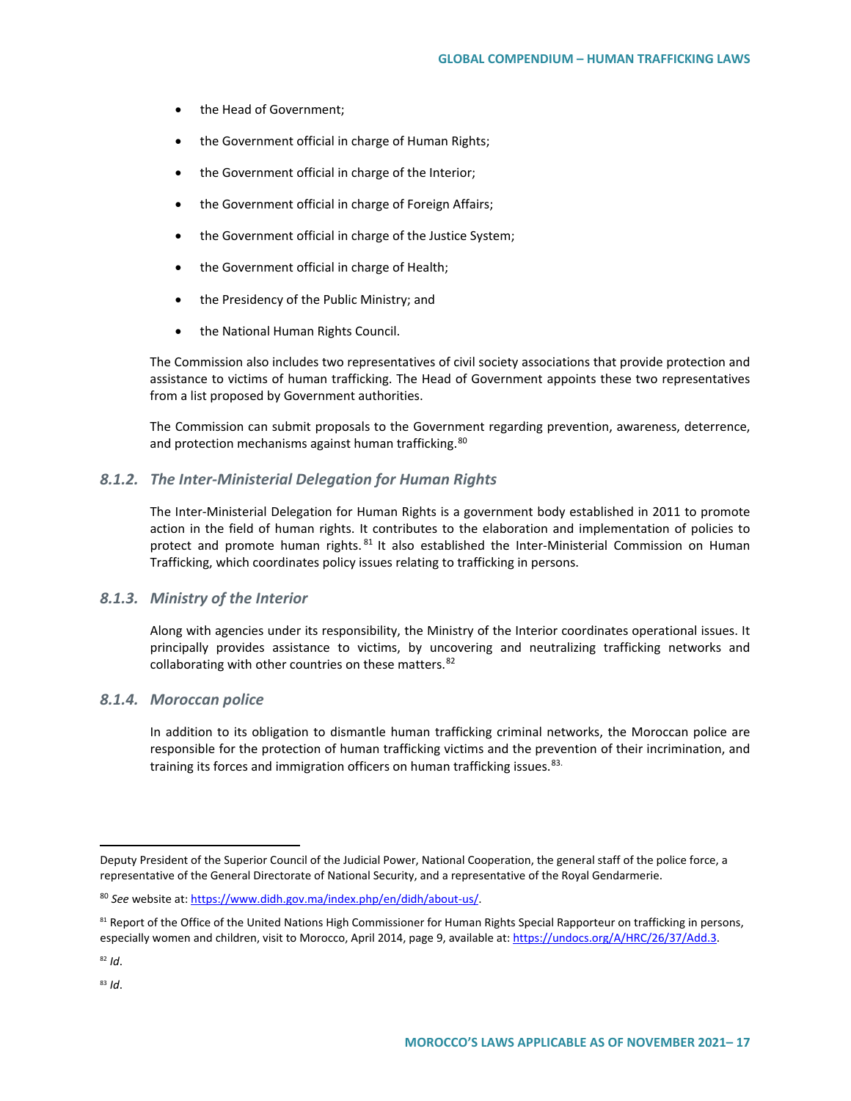- the Head of Government;
- the Government official in charge of Human Rights;
- the Government official in charge of the Interior;
- the Government official in charge of Foreign Affairs;
- the Government official in charge of the Justice System;
- the Government official in charge of Health;
- the Presidency of the Public Ministry; and
- the National Human Rights Council.

The Commission also includes two representatives of civil society associations that provide protection and assistance to victims of human trafficking. The Head of Government appoints these two representatives from a list proposed by Government authorities.

The Commission can submit proposals to the Government regarding prevention, awareness, deterrence, and protection mechanisms against human trafficking.<sup>[80](#page-16-0)</sup>

### *8.1.2. The Inter-Ministerial Delegation for Human Rights*

The Inter-Ministerial Delegation for Human Rights is a government body established in 2011 to promote action in the field of human rights. It contributes to the elaboration and implementation of policies to protect and promote human rights. <sup>[81](#page-16-1)</sup> It also established the Inter-Ministerial Commission on Human Trafficking, which coordinates policy issues relating to trafficking in persons.

### *8.1.3. Ministry of the Interior*

Along with agencies under its responsibility, the Ministry of the Interior coordinates operational issues. It principally provides assistance to victims, by uncovering and neutralizing trafficking networks and collaborating with other countries on these matters.<sup>[82](#page-16-2)</sup>

### *8.1.4. Moroccan police*

In addition to its obligation to dismantle human trafficking criminal networks, the Moroccan police are responsible for the protection of human trafficking victims and the prevention of their incrimination, and training its forces and immigration officers on human trafficking issues.<sup>[83](#page-16-3).</sup>

 $\overline{a}$ 

Deputy President of the Superior Council of the Judicial Power, National Cooperation, the general staff of the police force, a representative of the General Directorate of National Security, and a representative of the Royal Gendarmerie.

<span id="page-16-0"></span><sup>80</sup> *See* website at[: https://www.didh.gov.ma/index.php/en/didh/about-us/.](https://www.didh.gov.ma/index.php/en/didh/about-us/)

<span id="page-16-1"></span><sup>81</sup> Report of the Office of the United Nations High Commissioner for Human Rights Special Rapporteur on trafficking in persons, especially women and children, visit to Morocco, April 2014, page 9, available at[: https://undocs.org/A/HRC/26/37/Add.3.](https://undocs.org/A/HRC/26/37/Add.3)

<span id="page-16-2"></span><sup>82</sup> *Id*.

<span id="page-16-3"></span><sup>83</sup> *Id*.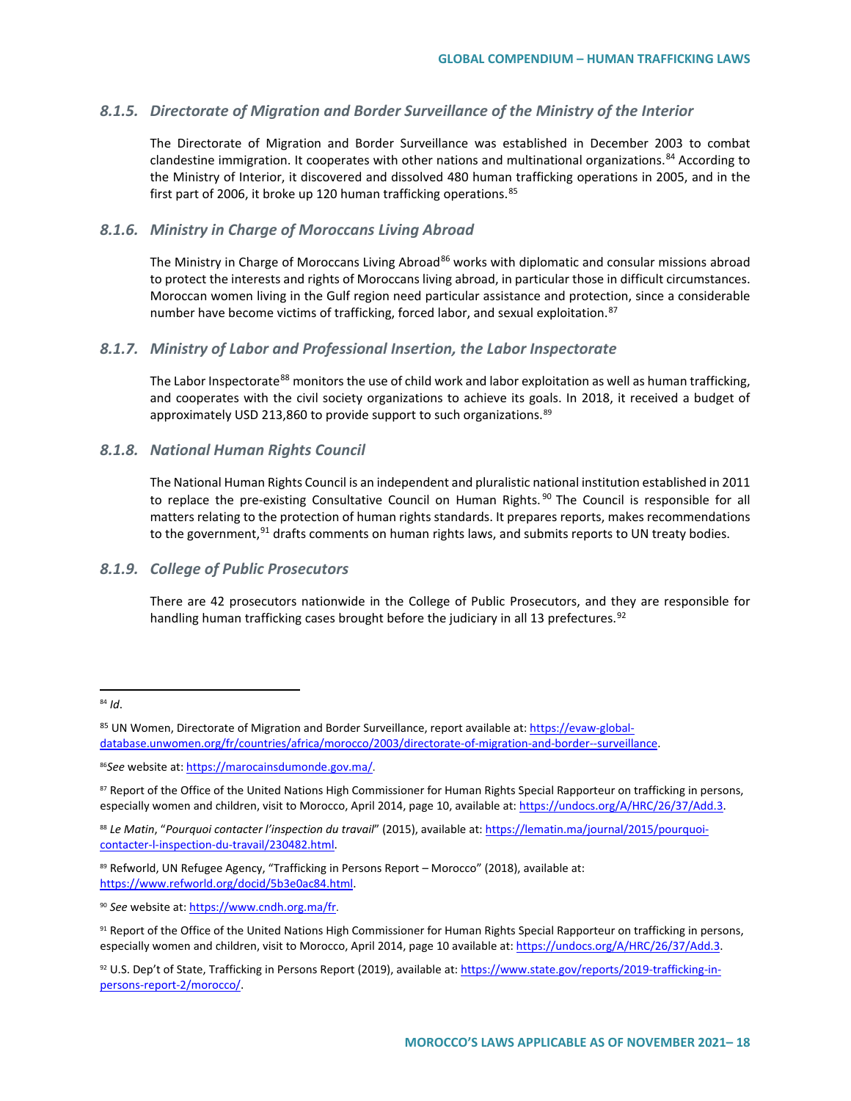### *8.1.5. Directorate of Migration and Border Surveillance of the Ministry of the Interior*

The Directorate of Migration and Border Surveillance was established in December 2003 to combat clandestine immigration. It cooperates with other nations and multinational organizations.<sup>[84](#page-17-0)</sup> According to the Ministry of Interior, it discovered and dissolved 480 human trafficking operations in 2005, and in the first part of 2006, it broke up 120 human trafficking operations.<sup>[85](#page-17-1)</sup>

### *8.1.6. Ministry in Charge of Moroccans Living Abroad*

The Ministry in Charge of Moroccans Living Abroad<sup>[86](#page-17-2)</sup> works with diplomatic and consular missions abroad to protect the interests and rights of Moroccans living abroad, in particular those in difficult circumstances. Moroccan women living in the Gulf region need particular assistance and protection, since a considerable number have become victims of trafficking, forced labor, and sexual exploitation.<sup>[87](#page-17-3)</sup>

### *8.1.7. Ministry of Labor and Professional Insertion, the Labor Inspectorate*

The Labor Inspectorate<sup>[88](#page-17-4)</sup> monitors the use of child work and labor exploitation as well as human trafficking, and cooperates with the civil society organizations to achieve its goals. In 2018, it received a budget of approximately USD 213,860 to provide support to such organizations.<sup>[89](#page-17-5)</sup>

### *8.1.8. National Human Rights Council*

The National Human Rights Council is an independent and pluralistic national institution established in 2011 to replace the pre-existing Consultative Council on Human Rights.<sup>[90](#page-17-6)</sup> The Council is responsible for all matters relating to the protection of human rights standards. It prepares reports, makes recommendations to the government, <sup>[91](#page-17-7)</sup> drafts comments on human rights laws, and submits reports to UN treaty bodies.

### *8.1.9. College of Public Prosecutors*

There are 42 prosecutors nationwide in the College of Public Prosecutors, and they are responsible for handling human trafficking cases brought before the judiciary in all 13 prefectures.<sup>[92](#page-17-8)</sup>

<span id="page-17-5"></span>89 Refworld, UN Refugee Agency, "Trafficking in Persons Report - Morocco" (2018), available at: https://www.refworld.org/docid/5b3e0ac84.html.

<span id="page-17-6"></span><sup>90</sup> *See* website at[: https://www.cndh.org.ma/fr.](https://www.cndh.org.ma/fr)

<span id="page-17-0"></span> <sup>84</sup> *Id*.

<span id="page-17-1"></span><sup>85</sup> UN Women, Directorate of Migration and Border Surveillance, report available at: https://evaw-globaldatabase.unwomen.org/fr/countries/africa/morocco/2003/directorate-of-migration-and-border--surveillance.

<span id="page-17-2"></span><sup>86</sup>*See* website at: [https://marocainsdumonde.gov.ma/.](https://marocainsdumonde.gov.ma/)

<span id="page-17-3"></span><sup>87</sup> Report of the Office of the United Nations High Commissioner for Human Rights Special Rapporteur on trafficking in persons, especially women and children, visit to Morocco, April 2014, page 10, available at: https://undocs.org/A/HRC/26/37/Add.3.

<span id="page-17-4"></span><sup>88</sup> *Le Matin*, "*Pourquoi contacter l'inspection du travail*" (2015), available at[: https://lematin.ma/journal/2015/pourquoi](https://lematin.ma/journal/2015/pourquoi-contacter-l-inspection-du-travail/230482.html)[contacter-l-inspection-du-travail/230482.html.](https://lematin.ma/journal/2015/pourquoi-contacter-l-inspection-du-travail/230482.html)

<span id="page-17-7"></span><sup>91</sup> Report of the Office of the United Nations High Commissioner for Human Rights Special Rapporteur on trafficking in persons, especially women and children, visit to Morocco, April 2014, page 10 available at: https://undocs.org/A/HRC/26/37/Add.3.

<span id="page-17-8"></span><sup>92</sup> U.S. Dep't of State, Trafficking in Persons Report (2019), available at[: https://www.state.gov/reports/2019-trafficking-in](https://www.state.gov/reports/2019-trafficking-in-persons-report-2/morocco/)[persons-report-2/morocco/.](https://www.state.gov/reports/2019-trafficking-in-persons-report-2/morocco/)